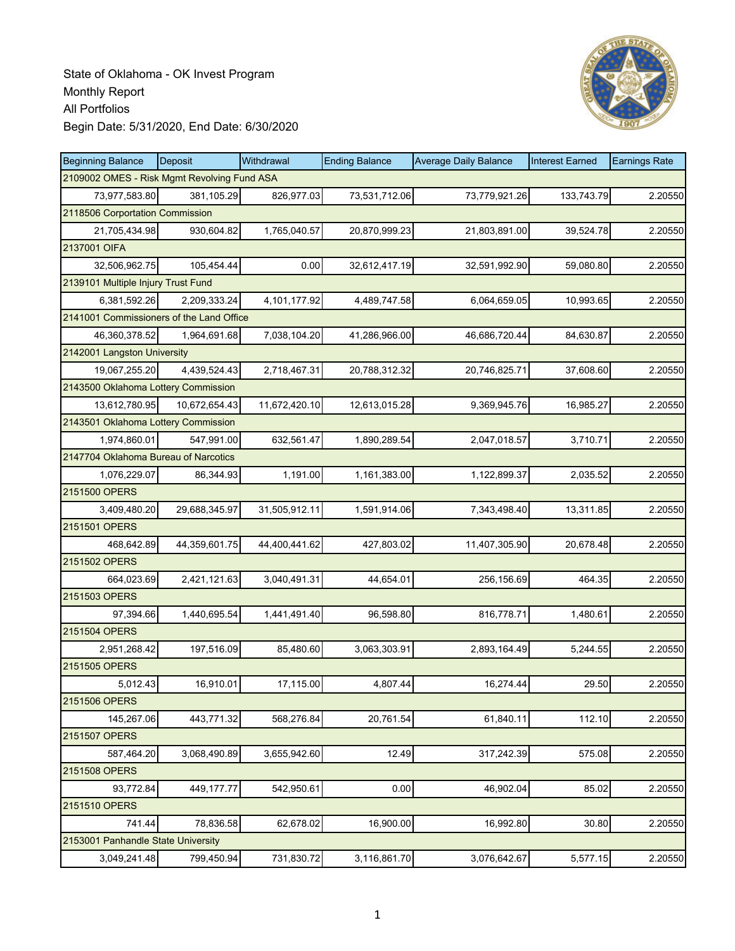

| <b>Beginning Balance</b>                    | Deposit       | Withdrawal    | <b>Ending Balance</b> | <b>Average Daily Balance</b> | <b>Interest Earned</b> | <b>Earnings Rate</b> |  |  |  |
|---------------------------------------------|---------------|---------------|-----------------------|------------------------------|------------------------|----------------------|--|--|--|
| 2109002 OMES - Risk Mgmt Revolving Fund ASA |               |               |                       |                              |                        |                      |  |  |  |
| 73,977,583.80                               | 381,105.29    | 826,977.03    | 73,531,712.06         | 73,779,921.26                | 133,743.79             | 2.20550              |  |  |  |
| 2118506 Corportation Commission             |               |               |                       |                              |                        |                      |  |  |  |
| 21,705,434.98                               | 930,604.82    | 1,765,040.57  | 20,870,999.23         | 21,803,891.00                | 39,524.78              | 2.20550              |  |  |  |
| 2137001 OIFA                                |               |               |                       |                              |                        |                      |  |  |  |
| 32,506,962.75                               | 105,454.44    | 0.00          | 32,612,417.19         | 32,591,992.90                | 59,080.80              | 2.20550              |  |  |  |
| 2139101 Multiple Injury Trust Fund          |               |               |                       |                              |                        |                      |  |  |  |
| 6,381,592.26                                | 2,209,333.24  | 4,101,177.92  | 4,489,747.58          | 6,064,659.05                 | 10,993.65              | 2.20550              |  |  |  |
| 2141001 Commissioners of the Land Office    |               |               |                       |                              |                        |                      |  |  |  |
| 46,360,378.52                               | 1,964,691.68  | 7,038,104.20  | 41,286,966.00         | 46,686,720.44                | 84,630.87              | 2.20550              |  |  |  |
| 2142001 Langston University                 |               |               |                       |                              |                        |                      |  |  |  |
| 19,067,255.20                               | 4,439,524.43  | 2,718,467.31  | 20,788,312.32         | 20,746,825.71                | 37,608.60              | 2.20550              |  |  |  |
| 2143500 Oklahoma Lottery Commission         |               |               |                       |                              |                        |                      |  |  |  |
| 13,612,780.95                               | 10,672,654.43 | 11,672,420.10 | 12,613,015.28         | 9,369,945.76                 | 16,985.27              | 2.20550              |  |  |  |
| 2143501 Oklahoma Lottery Commission         |               |               |                       |                              |                        |                      |  |  |  |
| 1,974,860.01                                | 547,991.00    | 632,561.47    | 1,890,289.54          | 2,047,018.57                 | 3,710.71               | 2.20550              |  |  |  |
| 2147704 Oklahoma Bureau of Narcotics        |               |               |                       |                              |                        |                      |  |  |  |
| 1,076,229.07                                | 86,344.93     | 1,191.00      | 1,161,383.00          | 1,122,899.37                 | 2,035.52               | 2.20550              |  |  |  |
| 2151500 OPERS                               |               |               |                       |                              |                        |                      |  |  |  |
| 3,409,480.20                                | 29,688,345.97 | 31,505,912.11 | 1,591,914.06          | 7,343,498.40                 | 13,311.85              | 2.20550              |  |  |  |
| 2151501 OPERS                               |               |               |                       |                              |                        |                      |  |  |  |
| 468,642.89                                  | 44,359,601.75 | 44,400,441.62 | 427,803.02            | 11,407,305.90                | 20,678.48              | 2.20550              |  |  |  |
| 2151502 OPERS                               |               |               |                       |                              |                        |                      |  |  |  |
| 664,023.69                                  | 2,421,121.63  | 3,040,491.31  | 44,654.01             | 256,156.69                   | 464.35                 | 2.20550              |  |  |  |
| 2151503 OPERS                               |               |               |                       |                              |                        |                      |  |  |  |
| 97,394.66                                   | 1,440,695.54  | 1,441,491.40  | 96,598.80             | 816,778.71                   | 1,480.61               | 2.20550              |  |  |  |
| 2151504 OPERS                               |               |               |                       |                              |                        |                      |  |  |  |
| 2,951,268.42                                | 197,516.09    | 85,480.60     | 3,063,303.91          | 2,893,164.49                 | 5,244.55               | 2.20550              |  |  |  |
| 2151505 OPERS                               |               |               |                       |                              |                        |                      |  |  |  |
| 5,012.43                                    | 16,910.01     | 17,115.00     | 4,807.44              | 16,274.44                    | 29.50                  | 2.20550              |  |  |  |
| 2151506 OPERS                               |               |               |                       |                              |                        |                      |  |  |  |
| 145,267.06                                  | 443,771.32    | 568,276.84    | 20,761.54             | 61,840.11                    | 112.10                 | 2.20550              |  |  |  |
| 2151507 OPERS                               |               |               |                       |                              |                        |                      |  |  |  |
| 587,464.20                                  | 3,068,490.89  | 3,655,942.60  | 12.49                 | 317,242.39                   | 575.08                 | 2.20550              |  |  |  |
| 2151508 OPERS                               |               |               |                       |                              |                        |                      |  |  |  |
| 93,772.84                                   | 449,177.77    | 542,950.61    | 0.00                  | 46,902.04                    | 85.02                  | 2.20550              |  |  |  |
| 2151510 OPERS                               |               |               |                       |                              |                        |                      |  |  |  |
| 741.44                                      | 78,836.58     | 62,678.02     | 16,900.00             | 16,992.80                    | 30.80                  | 2.20550              |  |  |  |
| 2153001 Panhandle State University          |               |               |                       |                              |                        |                      |  |  |  |
| 3,049,241.48                                | 799,450.94    | 731,830.72    | 3,116,861.70          | 3,076,642.67                 | 5,577.15               | 2.20550              |  |  |  |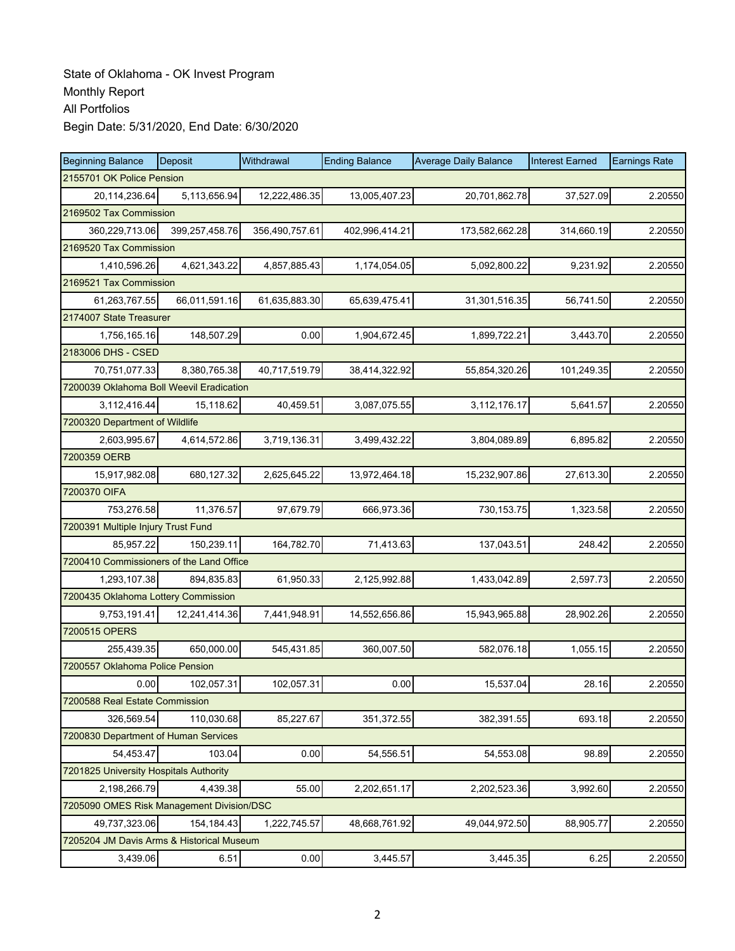| <b>Beginning Balance</b>                  | Deposit        | Withdrawal     | <b>Ending Balance</b> | <b>Average Daily Balance</b> | <b>Interest Earned</b> | <b>Earnings Rate</b> |  |  |  |
|-------------------------------------------|----------------|----------------|-----------------------|------------------------------|------------------------|----------------------|--|--|--|
| 2155701 OK Police Pension                 |                |                |                       |                              |                        |                      |  |  |  |
| 20,114,236.64                             | 5,113,656.94   | 12,222,486.35  | 13,005,407.23         | 20,701,862.78                | 37,527.09              | 2.20550              |  |  |  |
| 2169502 Tax Commission                    |                |                |                       |                              |                        |                      |  |  |  |
| 360,229,713.06                            | 399,257,458.76 | 356,490,757.61 | 402,996,414.21        | 173,582,662.28               | 314,660.19             | 2.20550              |  |  |  |
| 2169520 Tax Commission                    |                |                |                       |                              |                        |                      |  |  |  |
| 1,410,596.26                              | 4,621,343.22   | 4,857,885.43   | 1,174,054.05          | 5,092,800.22                 | 9,231.92               | 2.20550              |  |  |  |
| 2169521 Tax Commission                    |                |                |                       |                              |                        |                      |  |  |  |
| 61,263,767.55                             | 66,011,591.16  | 61,635,883.30  | 65,639,475.41         | 31,301,516.35                | 56,741.50              | 2.20550              |  |  |  |
| 2174007 State Treasurer                   |                |                |                       |                              |                        |                      |  |  |  |
| 1,756,165.16                              | 148,507.29     | 0.00           | 1,904,672.45          | 1,899,722.21                 | 3,443.70               | 2.20550              |  |  |  |
| 2183006 DHS - CSED                        |                |                |                       |                              |                        |                      |  |  |  |
| 70,751,077.33                             | 8,380,765.38   | 40,717,519.79  | 38,414,322.92         | 55,854,320.26                | 101,249.35             | 2.20550              |  |  |  |
| 7200039 Oklahoma Boll Weevil Eradication  |                |                |                       |                              |                        |                      |  |  |  |
| 3,112,416.44                              | 15,118.62      | 40,459.51      | 3,087,075.55          | 3,112,176.17                 | 5,641.57               | 2.20550              |  |  |  |
| 7200320 Department of Wildlife            |                |                |                       |                              |                        |                      |  |  |  |
| 2,603,995.67                              | 4,614,572.86   | 3,719,136.31   | 3,499,432.22          | 3,804,089.89                 | 6,895.82               | 2.20550              |  |  |  |
| 7200359 OERB                              |                |                |                       |                              |                        |                      |  |  |  |
| 15,917,982.08                             | 680,127.32     | 2,625,645.22   | 13,972,464.18         | 15,232,907.86                | 27,613.30              | 2.20550              |  |  |  |
| 7200370 OIFA                              |                |                |                       |                              |                        |                      |  |  |  |
| 753,276.58                                | 11,376.57      | 97,679.79      | 666,973.36            | 730, 153. 75                 | 1,323.58               | 2.20550              |  |  |  |
| 7200391 Multiple Injury Trust Fund        |                |                |                       |                              |                        |                      |  |  |  |
| 85,957.22                                 | 150,239.11     | 164,782.70     | 71,413.63             | 137,043.51                   | 248.42                 | 2.20550              |  |  |  |
| 7200410 Commissioners of the Land Office  |                |                |                       |                              |                        |                      |  |  |  |
| 1,293,107.38                              | 894,835.83     | 61,950.33      | 2,125,992.88          | 1,433,042.89                 | 2,597.73               | 2.20550              |  |  |  |
| 7200435 Oklahoma Lottery Commission       |                |                |                       |                              |                        |                      |  |  |  |
| 9,753,191.41                              | 12,241,414.36  | 7,441,948.91   | 14,552,656.86         | 15,943,965.88                | 28,902.26              | 2.20550              |  |  |  |
| 7200515 OPERS                             |                |                |                       |                              |                        |                      |  |  |  |
| 255,439.35                                | 650,000.00     | 545,431.85     | 360,007.50            | 582,076.18                   | 1,055.15               | 2.20550              |  |  |  |
| 7200557 Oklahoma Police Pension           |                |                |                       |                              |                        |                      |  |  |  |
| 0.00                                      | 102,057.31     | 102,057.31     | 0.00                  | 15,537.04                    | 28.16                  | 2.20550              |  |  |  |
| 7200588 Real Estate Commission            |                |                |                       |                              |                        |                      |  |  |  |
| 326,569.54                                | 110,030.68     | 85,227.67      | 351,372.55            | 382,391.55                   | 693.18                 | 2.20550              |  |  |  |
| 7200830 Department of Human Services      |                |                |                       |                              |                        |                      |  |  |  |
| 54,453.47                                 | 103.04         | 0.00           | 54,556.51             | 54,553.08                    | 98.89                  | 2.20550              |  |  |  |
| 7201825 University Hospitals Authority    |                |                |                       |                              |                        |                      |  |  |  |
| 2,198,266.79                              | 4,439.38       | 55.00          | 2,202,651.17          | 2,202,523.36                 | 3,992.60               | 2.20550              |  |  |  |
| 7205090 OMES Risk Management Division/DSC |                |                |                       |                              |                        |                      |  |  |  |
| 49,737,323.06                             | 154,184.43     | 1,222,745.57   | 48,668,761.92         | 49,044,972.50                | 88,905.77              | 2.20550              |  |  |  |
| 7205204 JM Davis Arms & Historical Museum |                |                |                       |                              |                        |                      |  |  |  |
| 3,439.06                                  | 6.51           | 0.00           | 3,445.57              | 3,445.35                     | 6.25                   | 2.20550              |  |  |  |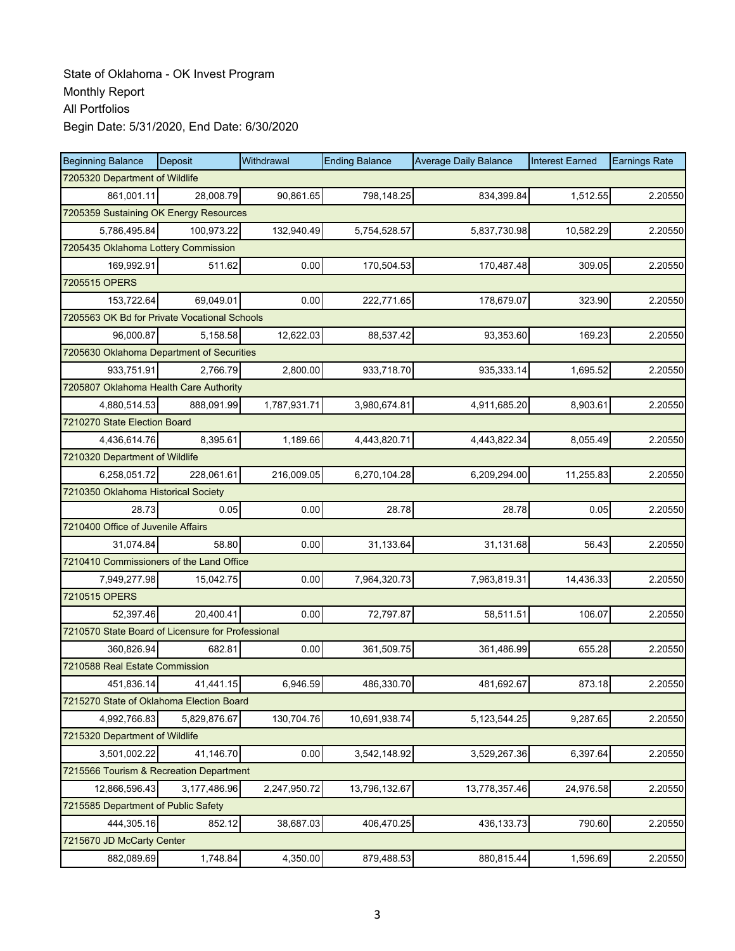| <b>Beginning Balance</b>                          | Deposit                                | Withdrawal   | <b>Ending Balance</b> | <b>Average Daily Balance</b> | <b>Interest Earned</b> | <b>Earnings Rate</b> |  |  |  |  |
|---------------------------------------------------|----------------------------------------|--------------|-----------------------|------------------------------|------------------------|----------------------|--|--|--|--|
| 7205320 Department of Wildlife                    |                                        |              |                       |                              |                        |                      |  |  |  |  |
| 861.001.11                                        | 28,008.79                              | 90,861.65    | 798,148.25            | 834,399.84                   | 1,512.55               | 2.20550              |  |  |  |  |
|                                                   | 7205359 Sustaining OK Energy Resources |              |                       |                              |                        |                      |  |  |  |  |
| 5,786,495.84                                      | 100,973.22                             | 132,940.49   | 5,754,528.57          | 5,837,730.98                 | 10,582.29              | 2.20550              |  |  |  |  |
| 7205435 Oklahoma Lottery Commission               |                                        |              |                       |                              |                        |                      |  |  |  |  |
| 169,992.91                                        | 511.62                                 | 0.00         | 170,504.53            | 170,487.48                   | 309.05                 | 2.20550              |  |  |  |  |
| 7205515 OPERS                                     |                                        |              |                       |                              |                        |                      |  |  |  |  |
| 153,722.64                                        | 69,049.01                              | 0.00         | 222,771.65            | 178,679.07                   | 323.90                 | 2.20550              |  |  |  |  |
| 7205563 OK Bd for Private Vocational Schools      |                                        |              |                       |                              |                        |                      |  |  |  |  |
| 96,000.87                                         | 5,158.58                               | 12,622.03    | 88,537.42             | 93,353.60                    | 169.23                 | 2.20550              |  |  |  |  |
| 7205630 Oklahoma Department of Securities         |                                        |              |                       |                              |                        |                      |  |  |  |  |
| 933,751.91                                        | 2,766.79                               | 2,800.00     | 933,718.70            | 935,333.14                   | 1,695.52               | 2.20550              |  |  |  |  |
| 7205807 Oklahoma Health Care Authority            |                                        |              |                       |                              |                        |                      |  |  |  |  |
| 4,880,514.53                                      | 888,091.99                             | 1,787,931.71 | 3,980,674.81          | 4,911,685.20                 | 8,903.61               | 2.20550              |  |  |  |  |
| 7210270 State Election Board                      |                                        |              |                       |                              |                        |                      |  |  |  |  |
| 4,436,614.76                                      | 8,395.61                               | 1,189.66     | 4,443,820.71          | 4,443,822.34                 | 8,055.49               | 2.20550              |  |  |  |  |
| 7210320 Department of Wildlife                    |                                        |              |                       |                              |                        |                      |  |  |  |  |
| 6,258,051.72                                      | 228,061.61                             | 216,009.05   | 6,270,104.28          | 6,209,294.00                 | 11,255.83              | 2.20550              |  |  |  |  |
| 7210350 Oklahoma Historical Society               |                                        |              |                       |                              |                        |                      |  |  |  |  |
| 28.73                                             | 0.05                                   | 0.00         | 28.78                 | 28.78                        | 0.05                   | 2.20550              |  |  |  |  |
| 7210400 Office of Juvenile Affairs                |                                        |              |                       |                              |                        |                      |  |  |  |  |
| 31,074.84                                         | 58.80                                  | 0.00         | 31,133.64             | 31,131.68                    | 56.43                  | 2.20550              |  |  |  |  |
| 7210410 Commissioners of the Land Office          |                                        |              |                       |                              |                        |                      |  |  |  |  |
| 7,949,277.98                                      | 15,042.75                              | 0.00         | 7,964,320.73          | 7,963,819.31                 | 14,436.33              | 2.20550              |  |  |  |  |
| 7210515 OPERS                                     |                                        |              |                       |                              |                        |                      |  |  |  |  |
| 52,397.46                                         | 20,400.41                              | 0.00         | 72,797.87             | 58,511.51                    | 106.07                 | 2.20550              |  |  |  |  |
| 7210570 State Board of Licensure for Professional |                                        |              |                       |                              |                        |                      |  |  |  |  |
| 360,826.94                                        | 682.81                                 | 0.00         | 361,509.75            | 361,486.99                   | 655.28                 | 2.20550              |  |  |  |  |
| 7210588 Real Estate Commission                    |                                        |              |                       |                              |                        |                      |  |  |  |  |
| 451,836.14                                        | 41,441.15                              | 6,946.59     | 486,330.70            | 481,692.67                   | 873.18                 | 2.20550              |  |  |  |  |
| 7215270 State of Oklahoma Election Board          |                                        |              |                       |                              |                        |                      |  |  |  |  |
| 4,992,766.83                                      | 5,829,876.67                           | 130,704.76   | 10,691,938.74         | 5,123,544.25                 | 9,287.65               | 2.20550              |  |  |  |  |
| 7215320 Department of Wildlife                    |                                        |              |                       |                              |                        |                      |  |  |  |  |
| 3,501,002.22                                      | 41,146.70                              | 0.00         | 3,542,148.92          | 3,529,267.36                 | 6,397.64               | 2.20550              |  |  |  |  |
| 7215566 Tourism & Recreation Department           |                                        |              |                       |                              |                        |                      |  |  |  |  |
| 12,866,596.43                                     | 3,177,486.96                           | 2,247,950.72 | 13,796,132.67         | 13,778,357.46                | 24,976.58              | 2.20550              |  |  |  |  |
| 7215585 Department of Public Safety               |                                        |              |                       |                              |                        |                      |  |  |  |  |
| 444,305.16                                        | 852.12                                 | 38,687.03    | 406,470.25            | 436, 133. 73                 | 790.60                 | 2.20550              |  |  |  |  |
| 7215670 JD McCarty Center                         |                                        |              |                       |                              |                        |                      |  |  |  |  |
| 882,089.69                                        | 1,748.84                               | 4,350.00     | 879,488.53            | 880,815.44                   | 1,596.69               | 2.20550              |  |  |  |  |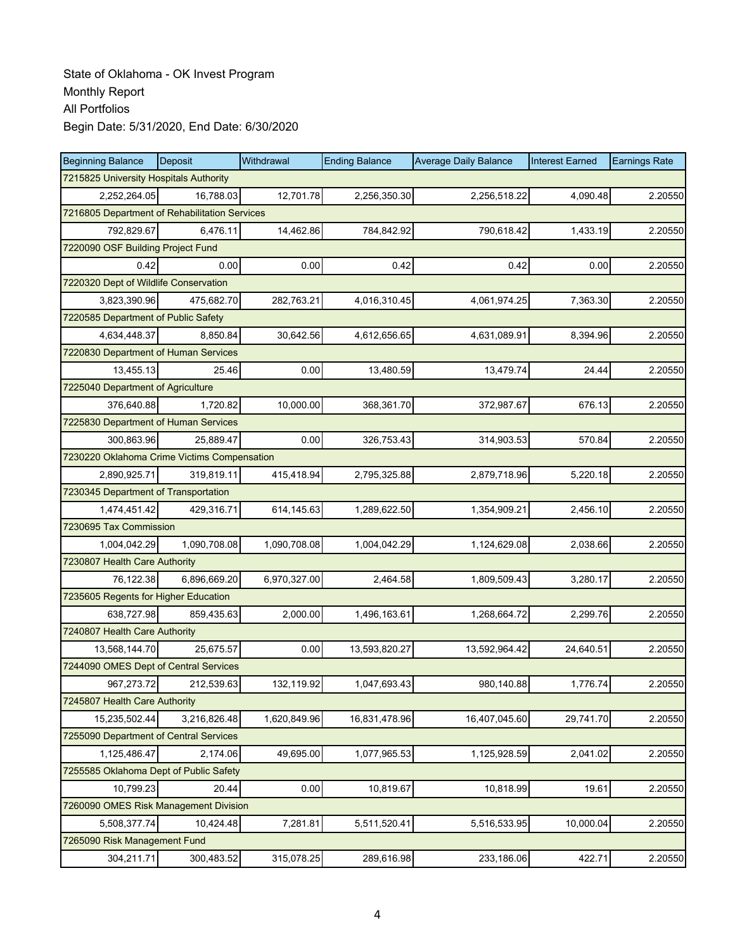| <b>Beginning Balance</b>                      | Deposit      | Withdrawal   | <b>Ending Balance</b> | <b>Average Daily Balance</b> | <b>Interest Earned</b> | <b>Earnings Rate</b> |  |  |  |
|-----------------------------------------------|--------------|--------------|-----------------------|------------------------------|------------------------|----------------------|--|--|--|
| 7215825 University Hospitals Authority        |              |              |                       |                              |                        |                      |  |  |  |
| 2,252,264.05                                  | 16,788.03    | 12,701.78    | 2,256,350.30          | 2,256,518.22                 | 4,090.48               | 2.20550              |  |  |  |
| 7216805 Department of Rehabilitation Services |              |              |                       |                              |                        |                      |  |  |  |
| 792,829.67                                    | 6,476.11     | 14,462.86    | 784,842.92            | 790,618.42                   | 1,433.19               | 2.20550              |  |  |  |
| 7220090 OSF Building Project Fund             |              |              |                       |                              |                        |                      |  |  |  |
| 0.42                                          | 0.00         | 0.00         | 0.42                  | 0.42                         | 0.00                   | 2.20550              |  |  |  |
| 7220320 Dept of Wildlife Conservation         |              |              |                       |                              |                        |                      |  |  |  |
| 3,823,390.96                                  | 475,682.70   | 282,763.21   | 4,016,310.45          | 4,061,974.25                 | 7,363.30               | 2.20550              |  |  |  |
| 7220585 Department of Public Safety           |              |              |                       |                              |                        |                      |  |  |  |
| 4,634,448.37                                  | 8,850.84     | 30,642.56    | 4,612,656.65          | 4,631,089.91                 | 8,394.96               | 2.20550              |  |  |  |
| 7220830 Department of Human Services          |              |              |                       |                              |                        |                      |  |  |  |
| 13,455.13                                     | 25.46        | 0.00         | 13,480.59             | 13,479.74                    | 24.44                  | 2.20550              |  |  |  |
| 7225040 Department of Agriculture             |              |              |                       |                              |                        |                      |  |  |  |
| 376,640.88                                    | 1,720.82     | 10,000.00    | 368,361.70            | 372,987.67                   | 676.13                 | 2.20550              |  |  |  |
| 7225830 Department of Human Services          |              |              |                       |                              |                        |                      |  |  |  |
| 300,863.96                                    | 25,889.47    | 0.00         | 326,753.43            | 314,903.53                   | 570.84                 | 2.20550              |  |  |  |
| 7230220 Oklahoma Crime Victims Compensation   |              |              |                       |                              |                        |                      |  |  |  |
| 2,890,925.71                                  | 319,819.11   | 415,418.94   | 2,795,325.88          | 2,879,718.96                 | 5,220.18               | 2.20550              |  |  |  |
| 7230345 Department of Transportation          |              |              |                       |                              |                        |                      |  |  |  |
| 1,474,451.42                                  | 429,316.71   | 614,145.63   | 1,289,622.50          | 1,354,909.21                 | 2,456.10               | 2.20550              |  |  |  |
| 7230695 Tax Commission                        |              |              |                       |                              |                        |                      |  |  |  |
| 1,004,042.29                                  | 1,090,708.08 | 1,090,708.08 | 1,004,042.29          | 1,124,629.08                 | 2,038.66               | 2.20550              |  |  |  |
| 7230807 Health Care Authority                 |              |              |                       |                              |                        |                      |  |  |  |
| 76,122.38                                     | 6,896,669.20 | 6,970,327.00 | 2,464.58              | 1,809,509.43                 | 3,280.17               | 2.20550              |  |  |  |
| 7235605 Regents for Higher Education          |              |              |                       |                              |                        |                      |  |  |  |
| 638,727.98                                    | 859,435.63   | 2,000.00     | 1,496,163.61          | 1,268,664.72                 | 2,299.76               | 2.20550              |  |  |  |
| 7240807 Health Care Authority                 |              |              |                       |                              |                        |                      |  |  |  |
| 13,568,144.70                                 | 25,675.57    | 0.00         | 13,593,820.27         | 13,592,964.42                | 24,640.51              | 2.20550              |  |  |  |
| 7244090 OMES Dept of Central Services         |              |              |                       |                              |                        |                      |  |  |  |
| 967,273.72                                    | 212,539.63   | 132,119.92   | 1,047,693.43          | 980,140.88                   | 1,776.74               | 2.20550              |  |  |  |
| 7245807 Health Care Authority                 |              |              |                       |                              |                        |                      |  |  |  |
| 15,235,502.44                                 | 3,216,826.48 | 1,620,849.96 | 16,831,478.96         | 16,407,045.60                | 29,741.70              | 2.20550              |  |  |  |
| 7255090 Department of Central Services        |              |              |                       |                              |                        |                      |  |  |  |
| 1,125,486.47                                  | 2,174.06     | 49,695.00    | 1,077,965.53          | 1,125,928.59                 | 2,041.02               | 2.20550              |  |  |  |
| 7255585 Oklahoma Dept of Public Safety        |              |              |                       |                              |                        |                      |  |  |  |
| 10,799.23                                     | 20.44        | 0.00         | 10,819.67             | 10,818.99                    | 19.61                  | 2.20550              |  |  |  |
| 7260090 OMES Risk Management Division         |              |              |                       |                              |                        |                      |  |  |  |
| 5,508,377.74                                  | 10,424.48    | 7,281.81     | 5,511,520.41          | 5,516,533.95                 | 10,000.04              | 2.20550              |  |  |  |
| 7265090 Risk Management Fund                  |              |              |                       |                              |                        |                      |  |  |  |
| 304,211.71                                    | 300,483.52   | 315,078.25   | 289,616.98            | 233,186.06                   | 422.71                 | 2.20550              |  |  |  |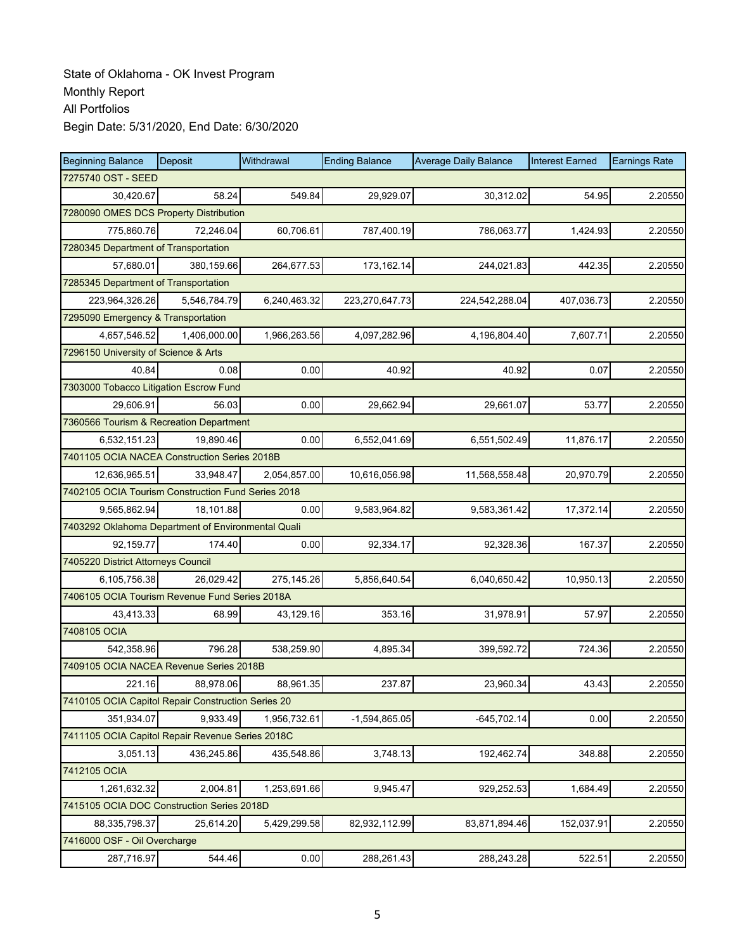| <b>Beginning Balance</b>                           | Deposit      | Withdrawal   | <b>Ending Balance</b> | <b>Average Daily Balance</b> | <b>Interest Earned</b> | <b>Earnings Rate</b> |  |  |  |
|----------------------------------------------------|--------------|--------------|-----------------------|------------------------------|------------------------|----------------------|--|--|--|
| 7275740 OST - SEED                                 |              |              |                       |                              |                        |                      |  |  |  |
| 30,420.67                                          | 58.24        | 549.84       | 29,929.07             | 30,312.02                    | 54.95                  | 2.20550              |  |  |  |
| 7280090 OMES DCS Property Distribution             |              |              |                       |                              |                        |                      |  |  |  |
| 775,860.76                                         | 72,246.04    | 60,706.61    | 787,400.19            | 786,063.77                   | 1,424.93               | 2.20550              |  |  |  |
| 7280345 Department of Transportation               |              |              |                       |                              |                        |                      |  |  |  |
| 57,680.01                                          | 380,159.66   | 264,677.53   | 173,162.14            | 244,021.83                   | 442.35                 | 2.20550              |  |  |  |
| 7285345 Department of Transportation               |              |              |                       |                              |                        |                      |  |  |  |
| 223,964,326.26                                     | 5.546.784.79 | 6,240,463.32 | 223,270,647.73        | 224,542,288.04               | 407,036.73             | 2.20550              |  |  |  |
| 7295090 Emergency & Transportation                 |              |              |                       |                              |                        |                      |  |  |  |
| 4,657,546.52                                       | 1,406,000.00 | 1,966,263.56 | 4,097,282.96          | 4,196,804.40                 | 7,607.71               | 2.20550              |  |  |  |
| 7296150 University of Science & Arts               |              |              |                       |                              |                        |                      |  |  |  |
| 40.84                                              | 0.08         | 0.00         | 40.92                 | 40.92                        | 0.07                   | 2.20550              |  |  |  |
| 7303000 Tobacco Litigation Escrow Fund             |              |              |                       |                              |                        |                      |  |  |  |
| 29,606.91                                          | 56.03        | 0.00         | 29,662.94             | 29,661.07                    | 53.77                  | 2.20550              |  |  |  |
| 7360566 Tourism & Recreation Department            |              |              |                       |                              |                        |                      |  |  |  |
| 6,532,151.23                                       | 19,890.46    | 0.00         | 6,552,041.69          | 6,551,502.49                 | 11,876.17              | 2.20550              |  |  |  |
| 7401105 OCIA NACEA Construction Series 2018B       |              |              |                       |                              |                        |                      |  |  |  |
| 12.636.965.51                                      | 33,948.47    | 2,054,857.00 | 10,616,056.98         | 11,568,558.48                | 20,970.79              | 2.20550              |  |  |  |
| 7402105 OCIA Tourism Construction Fund Series 2018 |              |              |                       |                              |                        |                      |  |  |  |
| 9,565,862.94                                       | 18,101.88    | 0.00         | 9,583,964.82          | 9,583,361.42                 | 17,372.14              | 2.20550              |  |  |  |
| 7403292 Oklahoma Department of Environmental Quali |              |              |                       |                              |                        |                      |  |  |  |
| 92,159.77                                          | 174.40       | 0.00         | 92,334.17             | 92,328.36                    | 167.37                 | 2.20550              |  |  |  |
| 7405220 District Attorneys Council                 |              |              |                       |                              |                        |                      |  |  |  |
| 6,105,756.38                                       | 26,029.42    | 275,145.26   | 5,856,640.54          | 6,040,650.42                 | 10,950.13              | 2.20550              |  |  |  |
| 7406105 OCIA Tourism Revenue Fund Series 2018A     |              |              |                       |                              |                        |                      |  |  |  |
| 43,413.33                                          | 68.99        | 43,129.16    | 353.16                | 31,978.91                    | 57.97                  | 2.20550              |  |  |  |
| 7408105 OCIA                                       |              |              |                       |                              |                        |                      |  |  |  |
| 542,358.96                                         | 796.28       | 538,259.90   | 4,895.34              | 399,592.72                   | 724.36                 | 2.20550              |  |  |  |
| 7409105 OCIA NACEA Revenue Series 2018B            |              |              |                       |                              |                        |                      |  |  |  |
| 221.16                                             | 88,978.06    | 88,961.35    | 237.87                | 23,960.34                    | 43.43                  | 2.20550              |  |  |  |
| 7410105 OCIA Capitol Repair Construction Series 20 |              |              |                       |                              |                        |                      |  |  |  |
| 351,934.07                                         | 9,933.49     | 1,956,732.61 | $-1,594,865.05$       | $-645,702.14$                | 0.00                   | 2.20550              |  |  |  |
| 7411105 OCIA Capitol Repair Revenue Series 2018C   |              |              |                       |                              |                        |                      |  |  |  |
| 3,051.13                                           | 436,245.86   | 435,548.86   | 3,748.13              | 192,462.74                   | 348.88                 | 2.20550              |  |  |  |
| 7412105 OCIA                                       |              |              |                       |                              |                        |                      |  |  |  |
| 1,261,632.32                                       | 2,004.81     | 1,253,691.66 | 9,945.47              | 929,252.53                   | 1,684.49               | 2.20550              |  |  |  |
| 7415105 OCIA DOC Construction Series 2018D         |              |              |                       |                              |                        |                      |  |  |  |
| 88,335,798.37                                      | 25,614.20    | 5,429,299.58 | 82,932,112.99         | 83,871,894.46                | 152,037.91             | 2.20550              |  |  |  |
| 7416000 OSF - Oil Overcharge                       |              |              |                       |                              |                        |                      |  |  |  |
| 287,716.97                                         | 544.46       | 0.00         | 288,261.43            | 288,243.28                   | 522.51                 | 2.20550              |  |  |  |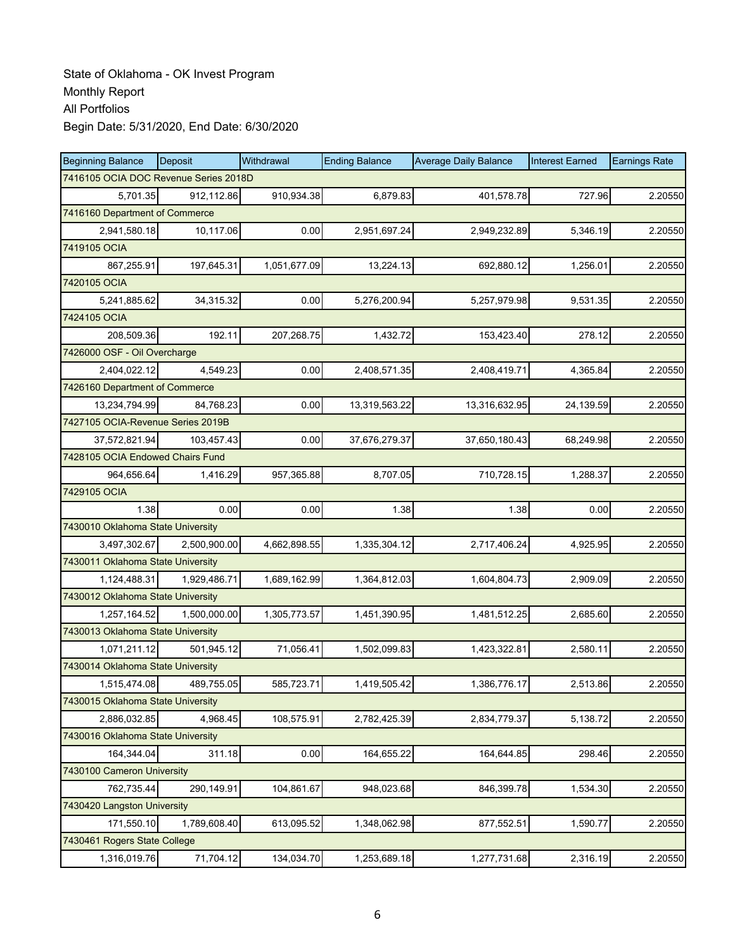| <b>Beginning Balance</b>              | Deposit      | Withdrawal   | <b>Ending Balance</b> | <b>Average Daily Balance</b> | <b>Interest Earned</b> | <b>Earnings Rate</b> |
|---------------------------------------|--------------|--------------|-----------------------|------------------------------|------------------------|----------------------|
| 7416105 OCIA DOC Revenue Series 2018D |              |              |                       |                              |                        |                      |
| 5.701.35                              | 912,112.86   | 910,934.38   | 6,879.83              | 401,578.78                   | 727.96                 | 2.20550              |
| 7416160 Department of Commerce        |              |              |                       |                              |                        |                      |
| 2,941,580.18                          | 10,117.06    | 0.00         | 2,951,697.24          | 2,949,232.89                 | 5,346.19               | 2.20550              |
| 7419105 OCIA                          |              |              |                       |                              |                        |                      |
| 867,255.91                            | 197,645.31   | 1,051,677.09 | 13,224.13             | 692,880.12                   | 1,256.01               | 2.20550              |
| 7420105 OCIA                          |              |              |                       |                              |                        |                      |
| 5.241.885.62                          | 34,315.32    | 0.00         | 5,276,200.94          | 5,257,979.98                 | 9,531.35               | 2.20550              |
| 7424105 OCIA                          |              |              |                       |                              |                        |                      |
| 208,509.36                            | 192.11       | 207,268.75   | 1,432.72              | 153,423.40                   | 278.12                 | 2.20550              |
| 7426000 OSF - Oil Overcharge          |              |              |                       |                              |                        |                      |
| 2,404,022.12                          | 4,549.23     | 0.00         | 2,408,571.35          | 2,408,419.71                 | 4,365.84               | 2.20550              |
| 7426160 Department of Commerce        |              |              |                       |                              |                        |                      |
| 13,234,794.99                         | 84,768.23    | 0.00         | 13,319,563.22         | 13,316,632.95                | 24,139.59              | 2.20550              |
| 7427105 OCIA-Revenue Series 2019B     |              |              |                       |                              |                        |                      |
| 37,572,821.94                         | 103,457.43   | 0.00         | 37,676,279.37         | 37,650,180.43                | 68,249.98              | 2.20550              |
| 7428105 OCIA Endowed Chairs Fund      |              |              |                       |                              |                        |                      |
| 964,656.64                            | 1,416.29     | 957,365.88   | 8,707.05              | 710,728.15                   | 1,288.37               | 2.20550              |
| 7429105 OCIA                          |              |              |                       |                              |                        |                      |
| 1.38                                  | 0.00         | 0.00         | 1.38                  | 1.38                         | 0.00                   | 2.20550              |
| 7430010 Oklahoma State University     |              |              |                       |                              |                        |                      |
| 3,497,302.67                          | 2,500,900.00 | 4,662,898.55 | 1,335,304.12          | 2,717,406.24                 | 4,925.95               | 2.20550              |
| 7430011 Oklahoma State University     |              |              |                       |                              |                        |                      |
| 1,124,488.31                          | 1,929,486.71 | 1,689,162.99 | 1,364,812.03          | 1,604,804.73                 | 2,909.09               | 2.20550              |
| 7430012 Oklahoma State University     |              |              |                       |                              |                        |                      |
| 1,257,164.52                          | 1,500,000.00 | 1,305,773.57 | 1,451,390.95          | 1,481,512.25                 | 2,685.60               | 2.20550              |
| 7430013 Oklahoma State University     |              |              |                       |                              |                        |                      |
| 1,071,211.12                          | 501,945.12   | 71,056.41    | 1,502,099.83          | 1,423,322.81                 | 2,580.11               | 2.20550              |
| 7430014 Oklahoma State University     |              |              |                       |                              |                        |                      |
| 1,515,474.08                          | 489,755.05   | 585,723.71   | 1,419,505.42          | 1,386,776.17                 | 2,513.86               | 2.20550              |
| 7430015 Oklahoma State University     |              |              |                       |                              |                        |                      |
| 2,886,032.85                          | 4,968.45     | 108,575.91   | 2,782,425.39          | 2,834,779.37                 | 5,138.72               | 2.20550              |
| 7430016 Oklahoma State University     |              |              |                       |                              |                        |                      |
| 164,344.04                            | 311.18       | 0.00         | 164,655.22            | 164,644.85                   | 298.46                 | 2.20550              |
| 7430100 Cameron University            |              |              |                       |                              |                        |                      |
| 762,735.44                            | 290,149.91   | 104,861.67   | 948,023.68            | 846,399.78                   | 1,534.30               | 2.20550              |
| 7430420 Langston University           |              |              |                       |                              |                        |                      |
| 171,550.10                            | 1,789,608.40 | 613,095.52   | 1,348,062.98          | 877,552.51                   | 1,590.77               | 2.20550              |
| 7430461 Rogers State College          |              |              |                       |                              |                        |                      |
| 1,316,019.76                          | 71,704.12    | 134,034.70   | 1,253,689.18          | 1,277,731.68                 | 2,316.19               | 2.20550              |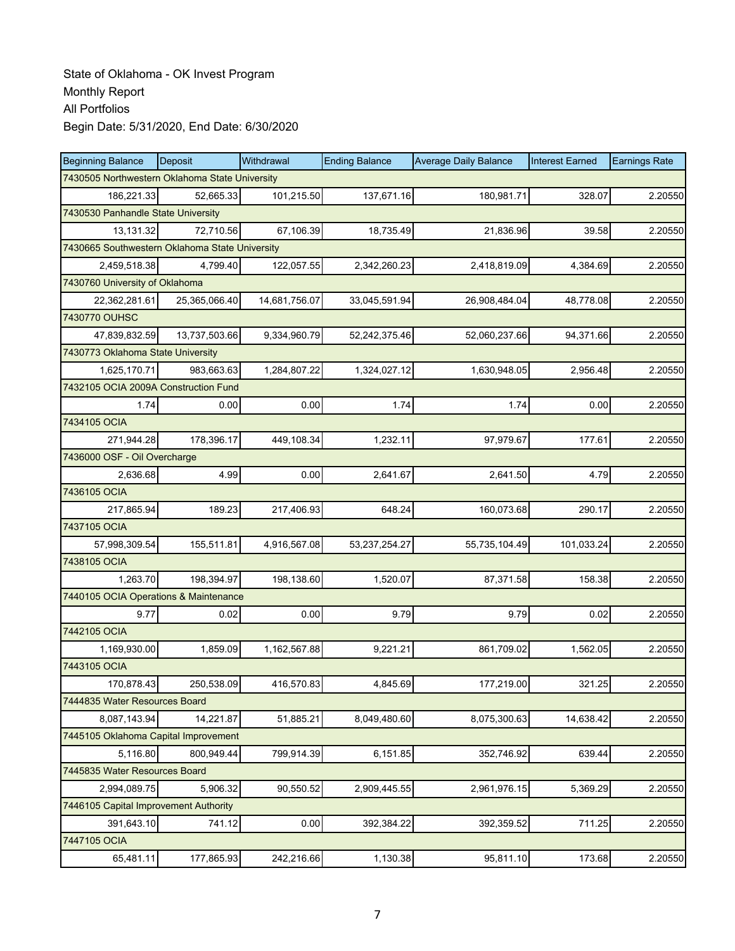| <b>Beginning Balance</b>                       | <b>Deposit</b>                                 | Withdrawal    | <b>Ending Balance</b> | <b>Average Daily Balance</b> | <b>Interest Earned</b> | <b>Earnings Rate</b> |  |  |  |  |
|------------------------------------------------|------------------------------------------------|---------------|-----------------------|------------------------------|------------------------|----------------------|--|--|--|--|
| 7430505 Northwestern Oklahoma State University |                                                |               |                       |                              |                        |                      |  |  |  |  |
| 186,221.33                                     | 52,665.33                                      | 101,215.50    | 137,671.16            | 180.981.71                   | 328.07                 | 2.20550              |  |  |  |  |
| 7430530 Panhandle State University             |                                                |               |                       |                              |                        |                      |  |  |  |  |
| 13,131.32                                      | 72,710.56                                      | 67,106.39     | 18,735.49             | 21,836.96                    | 39.58                  | 2.20550              |  |  |  |  |
|                                                | 7430665 Southwestern Oklahoma State University |               |                       |                              |                        |                      |  |  |  |  |
| 2,459,518.38                                   | 4,799.40                                       | 122,057.55    | 2,342,260.23          | 2,418,819.09                 | 4,384.69               | 2.20550              |  |  |  |  |
| 7430760 University of Oklahoma                 |                                                |               |                       |                              |                        |                      |  |  |  |  |
| 22,362,281.61                                  | 25,365,066.40                                  | 14,681,756.07 | 33,045,591.94         | 26,908,484.04                | 48,778.08              | 2.20550              |  |  |  |  |
| 7430770 OUHSC                                  |                                                |               |                       |                              |                        |                      |  |  |  |  |
| 47,839,832.59                                  | 13,737,503.66                                  | 9,334,960.79  | 52,242,375.46         | 52,060,237.66                | 94,371.66              | 2.20550              |  |  |  |  |
| 7430773 Oklahoma State University              |                                                |               |                       |                              |                        |                      |  |  |  |  |
| 1,625,170.71                                   | 983,663.63                                     | 1,284,807.22  | 1,324,027.12          | 1,630,948.05                 | 2,956.48               | 2.20550              |  |  |  |  |
| 7432105 OCIA 2009A Construction Fund           |                                                |               |                       |                              |                        |                      |  |  |  |  |
| 1.74                                           | 0.00                                           | 0.00          | 1.74                  | 1.74                         | 0.00                   | 2.20550              |  |  |  |  |
| 7434105 OCIA                                   |                                                |               |                       |                              |                        |                      |  |  |  |  |
| 271,944.28                                     | 178,396.17                                     | 449,108.34    | 1,232.11              | 97,979.67                    | 177.61                 | 2.20550              |  |  |  |  |
| 7436000 OSF - Oil Overcharge                   |                                                |               |                       |                              |                        |                      |  |  |  |  |
| 2,636.68                                       | 4.99                                           | 0.00          | 2,641.67              | 2,641.50                     | 4.79                   | 2.20550              |  |  |  |  |
| 7436105 OCIA                                   |                                                |               |                       |                              |                        |                      |  |  |  |  |
| 217,865.94                                     | 189.23                                         | 217,406.93    | 648.24                | 160,073.68                   | 290.17                 | 2.20550              |  |  |  |  |
| 7437105 OCIA                                   |                                                |               |                       |                              |                        |                      |  |  |  |  |
| 57,998,309.54                                  | 155,511.81                                     | 4,916,567.08  | 53,237,254.27         | 55,735,104.49                | 101,033.24             | 2.20550              |  |  |  |  |
| 7438105 OCIA                                   |                                                |               |                       |                              |                        |                      |  |  |  |  |
| 1,263.70                                       | 198,394.97                                     | 198,138.60    | 1,520.07              | 87,371.58                    | 158.38                 | 2.20550              |  |  |  |  |
| 7440105 OCIA Operations & Maintenance          |                                                |               |                       |                              |                        |                      |  |  |  |  |
| 9.77                                           | 0.02                                           | 0.00          | 9.79                  | 9.79                         | 0.02                   | 2.20550              |  |  |  |  |
| 7442105 OCIA                                   |                                                |               |                       |                              |                        |                      |  |  |  |  |
| 1,169,930.00                                   | 1,859.09                                       | 1,162,567.88  | 9,221.21              | 861,709.02                   | 1,562.05               | 2.20550              |  |  |  |  |
| 7443105 OCIA                                   |                                                |               |                       |                              |                        |                      |  |  |  |  |
| 170,878.43                                     | 250,538.09                                     | 416,570.83    | 4,845.69              | 177,219.00                   | 321.25                 | 2.20550              |  |  |  |  |
| 7444835 Water Resources Board                  |                                                |               |                       |                              |                        |                      |  |  |  |  |
| 8,087,143.94                                   | 14,221.87                                      | 51,885.21     | 8,049,480.60          | 8,075,300.63                 | 14,638.42              | 2.20550              |  |  |  |  |
| 7445105 Oklahoma Capital Improvement           |                                                |               |                       |                              |                        |                      |  |  |  |  |
| 5,116.80                                       | 800,949.44                                     | 799,914.39    | 6,151.85              | 352,746.92                   | 639.44                 | 2.20550              |  |  |  |  |
| 7445835 Water Resources Board                  |                                                |               |                       |                              |                        |                      |  |  |  |  |
| 2,994,089.75                                   | 5,906.32                                       | 90,550.52     | 2,909,445.55          | 2,961,976.15                 | 5,369.29               | 2.20550              |  |  |  |  |
| 7446105 Capital Improvement Authority          |                                                |               |                       |                              |                        |                      |  |  |  |  |
| 391,643.10                                     | 741.12                                         | 0.00          | 392,384.22            | 392,359.52                   | 711.25                 | 2.20550              |  |  |  |  |
| 7447105 OCIA                                   |                                                |               |                       |                              |                        |                      |  |  |  |  |
| 65,481.11                                      | 177,865.93                                     | 242,216.66    | 1,130.38              | 95,811.10                    | 173.68                 | 2.20550              |  |  |  |  |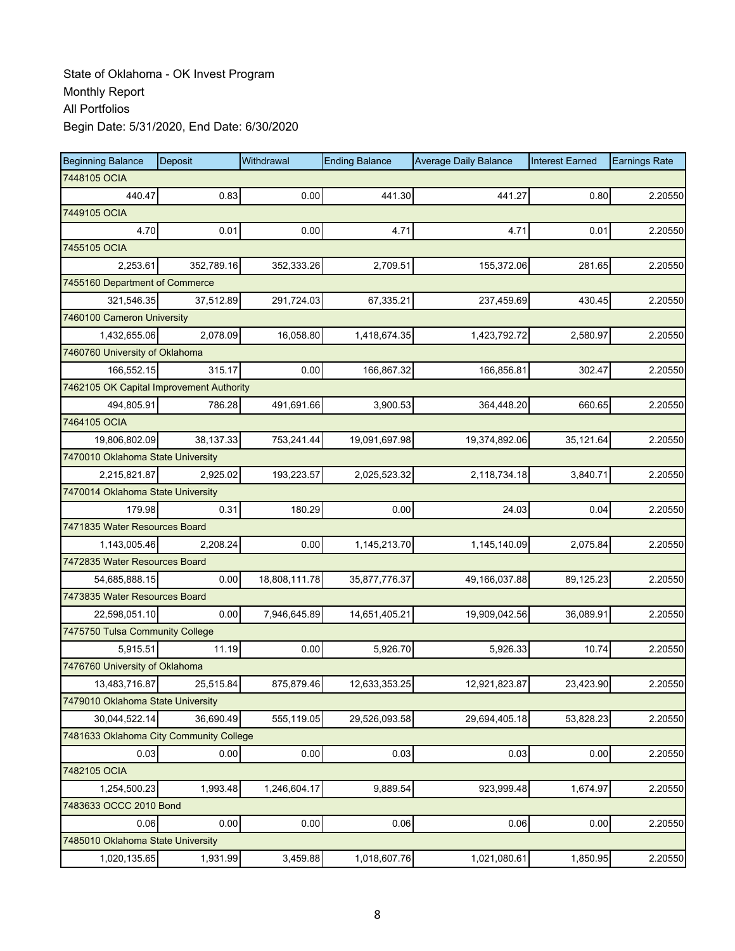| <b>Beginning Balance</b>                 | <b>Deposit</b> | Withdrawal    | <b>Ending Balance</b> | <b>Average Daily Balance</b> | <b>Interest Earned</b> | <b>Earnings Rate</b> |
|------------------------------------------|----------------|---------------|-----------------------|------------------------------|------------------------|----------------------|
| 7448105 OCIA                             |                |               |                       |                              |                        |                      |
| 440.47                                   | 0.83           | 0.00          | 441.30                | 441.27                       | 0.80                   | 2.20550              |
| 7449105 OCIA                             |                |               |                       |                              |                        |                      |
| 4.70                                     | 0.01           | 0.00          | 4.71                  | 4.71                         | 0.01                   | 2.20550              |
| 7455105 OCIA                             |                |               |                       |                              |                        |                      |
| 2,253.61                                 | 352,789.16     | 352,333.26    | 2,709.51              | 155,372.06                   | 281.65                 | 2.20550              |
| 7455160 Department of Commerce           |                |               |                       |                              |                        |                      |
| 321,546.35                               | 37,512.89      | 291,724.03    | 67,335.21             | 237,459.69                   | 430.45                 | 2.20550              |
| 7460100 Cameron University               |                |               |                       |                              |                        |                      |
| 1,432,655.06                             | 2,078.09       | 16,058.80     | 1,418,674.35          | 1,423,792.72                 | 2,580.97               | 2.20550              |
| 7460760 University of Oklahoma           |                |               |                       |                              |                        |                      |
| 166,552.15                               | 315.17         | 0.00          | 166,867.32            | 166,856.81                   | 302.47                 | 2.20550              |
| 7462105 OK Capital Improvement Authority |                |               |                       |                              |                        |                      |
| 494,805.91                               | 786.28         | 491,691.66    | 3,900.53              | 364,448.20                   | 660.65                 | 2.20550              |
| 7464105 OCIA                             |                |               |                       |                              |                        |                      |
| 19,806,802.09                            | 38,137.33      | 753,241.44    | 19,091,697.98         | 19,374,892.06                | 35,121.64              | 2.20550              |
| 7470010 Oklahoma State University        |                |               |                       |                              |                        |                      |
| 2,215,821.87                             | 2,925.02       | 193,223.57    | 2,025,523.32          | 2,118,734.18                 | 3.840.71               | 2.20550              |
| 7470014 Oklahoma State University        |                |               |                       |                              |                        |                      |
| 179.98                                   | 0.31           | 180.29        | 0.00                  | 24.03                        | 0.04                   | 2.20550              |
| 7471835 Water Resources Board            |                |               |                       |                              |                        |                      |
| 1,143,005.46                             | 2,208.24       | 0.00          | 1,145,213.70          | 1,145,140.09                 | 2,075.84               | 2.20550              |
| 7472835 Water Resources Board            |                |               |                       |                              |                        |                      |
| 54,685,888.15                            | 0.00           | 18,808,111.78 | 35,877,776.37         | 49,166,037.88                | 89,125.23              | 2.20550              |
| 7473835 Water Resources Board            |                |               |                       |                              |                        |                      |
| 22,598,051.10                            | 0.00           | 7,946,645.89  | 14,651,405.21         | 19,909,042.56                | 36,089.91              | 2.20550              |
| 7475750 Tulsa Community College          |                |               |                       |                              |                        |                      |
| 5,915.51                                 | 11.19          | 0.00          | 5,926.70              | 5,926.33                     | 10.74                  | 2.20550              |
| 7476760 University of Oklahoma           |                |               |                       |                              |                        |                      |
| 13,483,716.87                            | 25,515.84      | 875,879.46    | 12,633,353.25         | 12,921,823.87                | 23,423.90              | 2.20550              |
| 7479010 Oklahoma State University        |                |               |                       |                              |                        |                      |
| 30,044,522.14                            | 36,690.49      | 555,119.05    | 29,526,093.58         | 29,694,405.18                | 53,828.23              | 2.20550              |
| 7481633 Oklahoma City Community College  |                |               |                       |                              |                        |                      |
| 0.03                                     | 0.00           | 0.00          | 0.03                  | 0.03                         | 0.00                   | 2.20550              |
| 7482105 OCIA                             |                |               |                       |                              |                        |                      |
| 1,254,500.23                             | 1,993.48       | 1,246,604.17  | 9,889.54              | 923,999.48                   | 1,674.97               | 2.20550              |
| 7483633 OCCC 2010 Bond                   |                |               |                       |                              |                        |                      |
| 0.06                                     | 0.00           | 0.00          | 0.06                  | 0.06                         | 0.00                   | 2.20550              |
| 7485010 Oklahoma State University        |                |               |                       |                              |                        |                      |
| 1,020,135.65                             | 1,931.99       | 3,459.88      | 1,018,607.76          | 1,021,080.61                 | 1,850.95               | 2.20550              |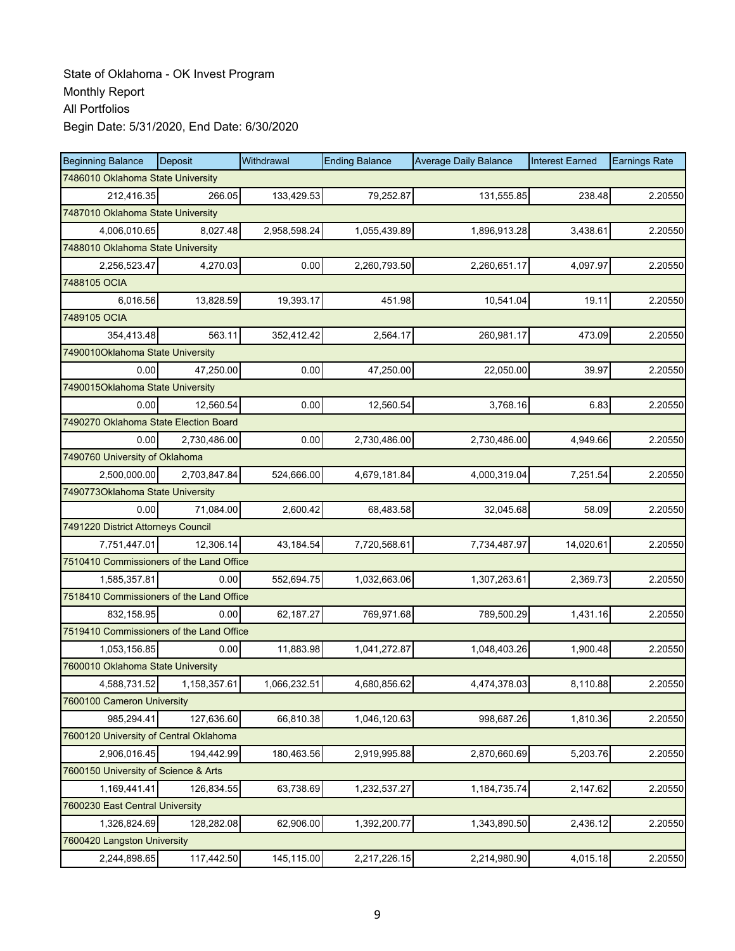| <b>Beginning Balance</b>                 | Deposit      | Withdrawal   | <b>Ending Balance</b> | <b>Average Daily Balance</b> | <b>Interest Earned</b> | <b>Earnings Rate</b> |  |  |  |
|------------------------------------------|--------------|--------------|-----------------------|------------------------------|------------------------|----------------------|--|--|--|
| 7486010 Oklahoma State University        |              |              |                       |                              |                        |                      |  |  |  |
| 212,416.35                               | 266.05       | 133,429.53   | 79,252.87             | 131,555.85                   | 238.48                 | 2.20550              |  |  |  |
| 7487010 Oklahoma State University        |              |              |                       |                              |                        |                      |  |  |  |
| 4,006,010.65                             | 8,027.48     | 2,958,598.24 | 1,055,439.89          | 1,896,913.28                 | 3,438.61               | 2.20550              |  |  |  |
| 7488010 Oklahoma State University        |              |              |                       |                              |                        |                      |  |  |  |
| 2,256,523.47                             | 4,270.03     | 0.00         | 2,260,793.50          | 2,260,651.17                 | 4,097.97               | 2.20550              |  |  |  |
| 7488105 OCIA                             |              |              |                       |                              |                        |                      |  |  |  |
| 6,016.56                                 | 13,828.59    | 19,393.17    | 451.98                | 10,541.04                    | 19.11                  | 2.20550              |  |  |  |
| 7489105 OCIA                             |              |              |                       |                              |                        |                      |  |  |  |
| 354,413.48                               | 563.11       | 352,412.42   | 2,564.17              | 260,981.17                   | 473.09                 | 2.20550              |  |  |  |
| 7490010Oklahoma State University         |              |              |                       |                              |                        |                      |  |  |  |
| 0.00                                     | 47,250.00    | 0.00         | 47,250.00             | 22,050.00                    | 39.97                  | 2.20550              |  |  |  |
| 7490015Oklahoma State University         |              |              |                       |                              |                        |                      |  |  |  |
| 0.00                                     | 12.560.54    | 0.00         | 12,560.54             | 3,768.16                     | 6.83                   | 2.20550              |  |  |  |
| 7490270 Oklahoma State Election Board    |              |              |                       |                              |                        |                      |  |  |  |
| 0.00                                     | 2,730,486.00 | 0.00         | 2,730,486.00          | 2,730,486.00                 | 4,949.66               | 2.20550              |  |  |  |
| 7490760 University of Oklahoma           |              |              |                       |                              |                        |                      |  |  |  |
| 2,500,000.00                             | 2,703,847.84 | 524,666.00   | 4,679,181.84          | 4,000,319.04                 | 7,251.54               | 2.20550              |  |  |  |
| 7490773Oklahoma State University         |              |              |                       |                              |                        |                      |  |  |  |
| 0.00                                     | 71,084.00    | 2,600.42     | 68,483.58             | 32,045.68                    | 58.09                  | 2.20550              |  |  |  |
| 7491220 District Attorneys Council       |              |              |                       |                              |                        |                      |  |  |  |
| 7,751,447.01                             | 12,306.14    | 43,184.54    | 7,720,568.61          | 7,734,487.97                 | 14,020.61              | 2.20550              |  |  |  |
| 7510410 Commissioners of the Land Office |              |              |                       |                              |                        |                      |  |  |  |
| 1,585,357.81                             | 0.00         | 552,694.75   | 1,032,663.06          | 1,307,263.61                 | 2,369.73               | 2.20550              |  |  |  |
| 7518410 Commissioners of the Land Office |              |              |                       |                              |                        |                      |  |  |  |
| 832,158.95                               | 0.00         | 62,187.27    | 769,971.68            | 789,500.29                   | 1,431.16               | 2.20550              |  |  |  |
| 7519410 Commissioners of the Land Office |              |              |                       |                              |                        |                      |  |  |  |
| 1,053,156.85                             | 0.00         | 11,883.98    | 1,041,272.87          | 1,048,403.26                 | 1,900.48               | 2.20550              |  |  |  |
| 7600010 Oklahoma State University        |              |              |                       |                              |                        |                      |  |  |  |
| 4,588,731.52                             | 1,158,357.61 | 1,066,232.51 | 4,680,856.62          | 4,474,378.03                 | 8,110.88               | 2.20550              |  |  |  |
| 7600100 Cameron University               |              |              |                       |                              |                        |                      |  |  |  |
| 985,294.41                               | 127,636.60   | 66,810.38    | 1,046,120.63          | 998,687.26                   | 1,810.36               | 2.20550              |  |  |  |
| 7600120 University of Central Oklahoma   |              |              |                       |                              |                        |                      |  |  |  |
| 2,906,016.45                             | 194,442.99   | 180,463.56   | 2,919,995.88          | 2,870,660.69                 | 5,203.76               | 2.20550              |  |  |  |
| 7600150 University of Science & Arts     |              |              |                       |                              |                        |                      |  |  |  |
| 1,169,441.41                             | 126,834.55   | 63,738.69    | 1,232,537.27          | 1,184,735.74                 | 2,147.62               | 2.20550              |  |  |  |
| 7600230 East Central University          |              |              |                       |                              |                        |                      |  |  |  |
| 1,326,824.69                             | 128,282.08   | 62,906.00    | 1,392,200.77          | 1,343,890.50                 | 2,436.12               | 2.20550              |  |  |  |
| 7600420 Langston University              |              |              |                       |                              |                        |                      |  |  |  |
| 2,244,898.65                             | 117,442.50   | 145,115.00   | 2,217,226.15          | 2,214,980.90                 | 4,015.18               | 2.20550              |  |  |  |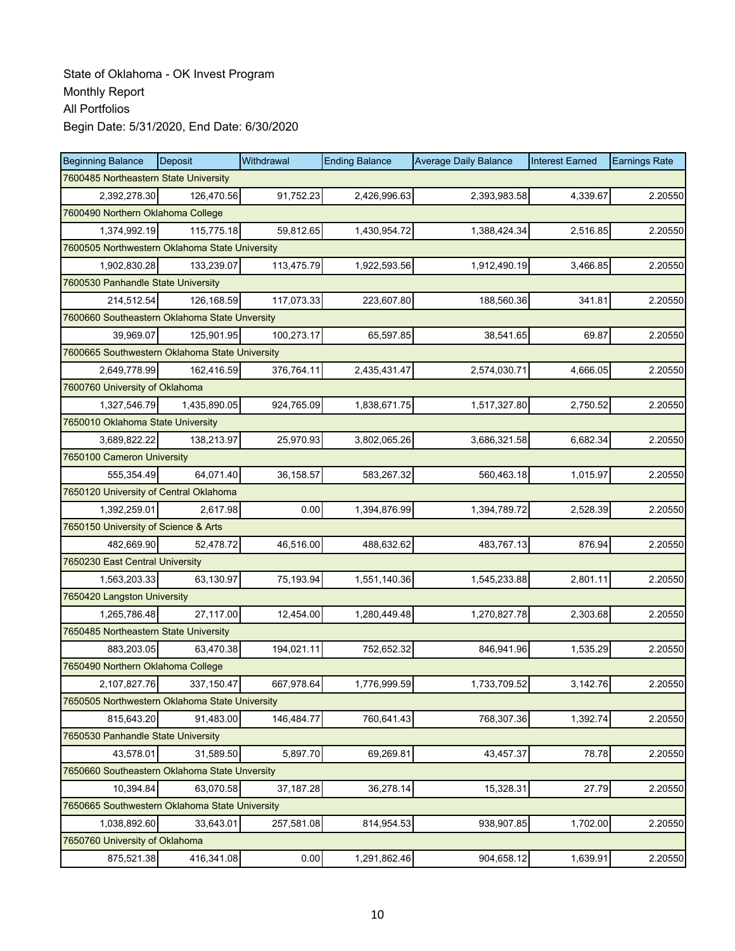| <b>Beginning Balance</b>                       | Deposit                                        | Withdrawal | <b>Ending Balance</b> | <b>Average Daily Balance</b> | <b>Interest Earned</b> | <b>Earnings Rate</b> |  |  |  |  |
|------------------------------------------------|------------------------------------------------|------------|-----------------------|------------------------------|------------------------|----------------------|--|--|--|--|
| 7600485 Northeastern State University          |                                                |            |                       |                              |                        |                      |  |  |  |  |
| 2,392,278.30                                   | 126,470.56                                     | 91,752.23  | 2,426,996.63          | 2,393,983.58                 | 4,339.67               | 2.20550              |  |  |  |  |
| 7600490 Northern Oklahoma College              |                                                |            |                       |                              |                        |                      |  |  |  |  |
| 1,374,992.19                                   | 115,775.18                                     | 59,812.65  | 1,430,954.72          | 1,388,424.34                 | 2,516.85               | 2.20550              |  |  |  |  |
|                                                | 7600505 Northwestern Oklahoma State University |            |                       |                              |                        |                      |  |  |  |  |
| 1,902,830.28                                   | 133,239.07                                     | 113,475.79 | 1,922,593.56          | 1,912,490.19                 | 3,466.85               | 2.20550              |  |  |  |  |
| 7600530 Panhandle State University             |                                                |            |                       |                              |                        |                      |  |  |  |  |
| 214,512.54                                     | 126,168.59                                     | 117,073.33 | 223,607.80            | 188,560.36                   | 341.81                 | 2.20550              |  |  |  |  |
| 7600660 Southeastern Oklahoma State Unversity  |                                                |            |                       |                              |                        |                      |  |  |  |  |
| 39,969.07                                      | 125,901.95                                     | 100,273.17 | 65,597.85             | 38,541.65                    | 69.87                  | 2.20550              |  |  |  |  |
| 7600665 Southwestern Oklahoma State University |                                                |            |                       |                              |                        |                      |  |  |  |  |
| 2,649,778.99                                   | 162,416.59                                     | 376,764.11 | 2,435,431.47          | 2,574,030.71                 | 4,666.05               | 2.20550              |  |  |  |  |
| 7600760 University of Oklahoma                 |                                                |            |                       |                              |                        |                      |  |  |  |  |
| 1,327,546.79                                   | 1,435,890.05                                   | 924,765.09 | 1,838,671.75          | 1,517,327.80                 | 2,750.52               | 2.20550              |  |  |  |  |
| 7650010 Oklahoma State University              |                                                |            |                       |                              |                        |                      |  |  |  |  |
| 3,689,822.22                                   | 138,213.97                                     | 25,970.93  | 3,802,065.26          | 3,686,321.58                 | 6,682.34               | 2.20550              |  |  |  |  |
| 7650100 Cameron University                     |                                                |            |                       |                              |                        |                      |  |  |  |  |
| 555,354.49                                     | 64,071.40                                      | 36,158.57  | 583,267.32            | 560,463.18                   | 1,015.97               | 2.20550              |  |  |  |  |
| 7650120 University of Central Oklahoma         |                                                |            |                       |                              |                        |                      |  |  |  |  |
| 1,392,259.01                                   | 2,617.98                                       | 0.00       | 1,394,876.99          | 1,394,789.72                 | 2,528.39               | 2.20550              |  |  |  |  |
| 7650150 University of Science & Arts           |                                                |            |                       |                              |                        |                      |  |  |  |  |
| 482,669.90                                     | 52,478.72                                      | 46,516.00  | 488,632.62            | 483,767.13                   | 876.94                 | 2.20550              |  |  |  |  |
| 7650230 East Central University                |                                                |            |                       |                              |                        |                      |  |  |  |  |
| 1,563,203.33                                   | 63,130.97                                      | 75,193.94  | 1,551,140.36          | 1,545,233.88                 | 2,801.11               | 2.20550              |  |  |  |  |
| 7650420 Langston University                    |                                                |            |                       |                              |                        |                      |  |  |  |  |
| 1,265,786.48                                   | 27,117.00                                      | 12,454.00  | 1,280,449.48          | 1,270,827.78                 | 2,303.68               | 2.20550              |  |  |  |  |
| 7650485 Northeastern State University          |                                                |            |                       |                              |                        |                      |  |  |  |  |
| 883,203.05                                     | 63,470.38                                      | 194,021.11 | 752,652.32            | 846,941.96                   | 1,535.29               | 2.20550              |  |  |  |  |
| 7650490 Northern Oklahoma College              |                                                |            |                       |                              |                        |                      |  |  |  |  |
| 2,107,827.76                                   | 337,150.47                                     | 667,978.64 | 1,776,999.59          | 1,733,709.52                 | 3,142.76               | 2.20550              |  |  |  |  |
| 7650505 Northwestern Oklahoma State University |                                                |            |                       |                              |                        |                      |  |  |  |  |
| 815,643.20                                     | 91,483.00                                      | 146,484.77 | 760,641.43            | 768,307.36                   | 1,392.74               | 2.20550              |  |  |  |  |
| 7650530 Panhandle State University             |                                                |            |                       |                              |                        |                      |  |  |  |  |
| 43,578.01                                      | 31,589.50                                      | 5,897.70   | 69,269.81             | 43,457.37                    | 78.78                  | 2.20550              |  |  |  |  |
| 7650660 Southeastern Oklahoma State Unversity  |                                                |            |                       |                              |                        |                      |  |  |  |  |
| 10,394.84                                      | 63,070.58                                      | 37,187.28  | 36,278.14             | 15,328.31                    | 27.79                  | 2.20550              |  |  |  |  |
| 7650665 Southwestern Oklahoma State University |                                                |            |                       |                              |                        |                      |  |  |  |  |
| 1,038,892.60                                   | 33,643.01                                      | 257,581.08 | 814,954.53            | 938,907.85                   | 1,702.00               | 2.20550              |  |  |  |  |
| 7650760 University of Oklahoma                 |                                                |            |                       |                              |                        |                      |  |  |  |  |
| 875,521.38                                     | 416,341.08                                     | 0.00       | 1,291,862.46          | 904,658.12                   | 1,639.91               | 2.20550              |  |  |  |  |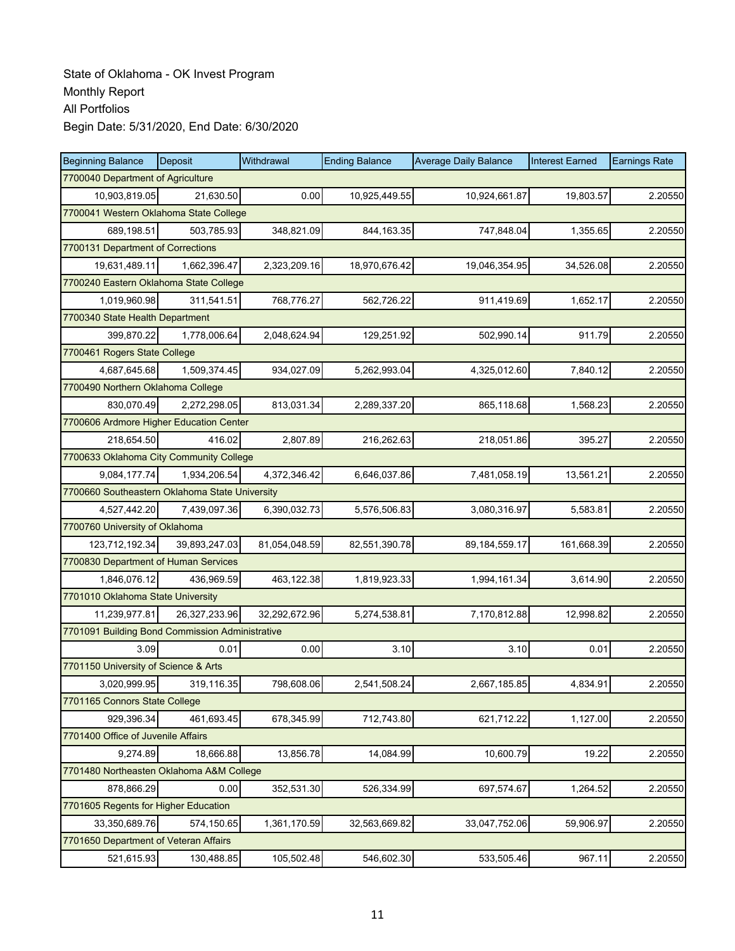| <b>Beginning Balance</b>                        | Deposit       | Withdrawal    | <b>Ending Balance</b> | <b>Average Daily Balance</b> | <b>Interest Earned</b> | <b>Earnings Rate</b> |  |  |  |
|-------------------------------------------------|---------------|---------------|-----------------------|------------------------------|------------------------|----------------------|--|--|--|
| 7700040 Department of Agriculture               |               |               |                       |                              |                        |                      |  |  |  |
| 10,903,819.05                                   | 21,630.50     | 0.00          | 10,925,449.55         | 10,924,661.87                | 19,803.57              | 2.20550              |  |  |  |
| 7700041 Western Oklahoma State College          |               |               |                       |                              |                        |                      |  |  |  |
| 689,198.51                                      | 503,785.93    | 348,821.09    | 844, 163. 35          | 747,848.04                   | 1,355.65               | 2.20550              |  |  |  |
| 7700131 Department of Corrections               |               |               |                       |                              |                        |                      |  |  |  |
| 19,631,489.11                                   | 1,662,396.47  | 2,323,209.16  | 18,970,676.42         | 19,046,354.95                | 34,526.08              | 2.20550              |  |  |  |
| 7700240 Eastern Oklahoma State College          |               |               |                       |                              |                        |                      |  |  |  |
| 1,019,960.98                                    | 311,541.51    | 768,776.27    | 562,726.22            | 911,419.69                   | 1,652.17               | 2.20550              |  |  |  |
| 7700340 State Health Department                 |               |               |                       |                              |                        |                      |  |  |  |
| 399,870.22                                      | 1,778,006.64  | 2,048,624.94  | 129,251.92            | 502,990.14                   | 911.79                 | 2.20550              |  |  |  |
| 7700461 Rogers State College                    |               |               |                       |                              |                        |                      |  |  |  |
| 4,687,645.68                                    | 1,509,374.45  | 934,027.09    | 5,262,993.04          | 4,325,012.60                 | 7,840.12               | 2.20550              |  |  |  |
| 7700490 Northern Oklahoma College               |               |               |                       |                              |                        |                      |  |  |  |
| 830,070.49                                      | 2,272,298.05  | 813,031.34    | 2,289,337.20          | 865,118.68                   | 1,568.23               | 2.20550              |  |  |  |
| 7700606 Ardmore Higher Education Center         |               |               |                       |                              |                        |                      |  |  |  |
| 218,654.50                                      | 416.02        | 2,807.89      | 216,262.63            | 218,051.86                   | 395.27                 | 2.20550              |  |  |  |
| 7700633 Oklahoma City Community College         |               |               |                       |                              |                        |                      |  |  |  |
| 9,084,177.74                                    | 1,934,206.54  | 4,372,346.42  | 6,646,037.86          | 7,481,058.19                 | 13,561.21              | 2.20550              |  |  |  |
| 7700660 Southeastern Oklahoma State University  |               |               |                       |                              |                        |                      |  |  |  |
| 4,527,442.20                                    | 7,439,097.36  | 6,390,032.73  | 5,576,506.83          | 3,080,316.97                 | 5,583.81               | 2.20550              |  |  |  |
| 7700760 University of Oklahoma                  |               |               |                       |                              |                        |                      |  |  |  |
| 123,712,192.34                                  | 39,893,247.03 | 81,054,048.59 | 82,551,390.78         | 89, 184, 559. 17             | 161,668.39             | 2.20550              |  |  |  |
| 7700830 Department of Human Services            |               |               |                       |                              |                        |                      |  |  |  |
| 1,846,076.12                                    | 436,969.59    | 463,122.38    | 1,819,923.33          | 1,994,161.34                 | 3,614.90               | 2.20550              |  |  |  |
| 7701010 Oklahoma State University               |               |               |                       |                              |                        |                      |  |  |  |
| 11,239,977.81                                   | 26,327,233.96 | 32,292,672.96 | 5,274,538.81          | 7,170,812.88                 | 12,998.82              | 2.20550              |  |  |  |
| 7701091 Building Bond Commission Administrative |               |               |                       |                              |                        |                      |  |  |  |
| 3.09                                            | 0.01          | 0.00          | 3.10                  | 3.10                         | 0.01                   | 2.20550              |  |  |  |
| 7701150 University of Science & Arts            |               |               |                       |                              |                        |                      |  |  |  |
| 3,020,999.95                                    | 319,116.35    | 798,608.06    | 2,541,508.24          | 2,667,185.85                 | 4,834.91               | 2.20550              |  |  |  |
| 7701165 Connors State College                   |               |               |                       |                              |                        |                      |  |  |  |
| 929,396.34                                      | 461,693.45    | 678,345.99    | 712,743.80            | 621,712.22                   | 1,127.00               | 2.20550              |  |  |  |
| 7701400 Office of Juvenile Affairs              |               |               |                       |                              |                        |                      |  |  |  |
| 9,274.89                                        | 18,666.88     | 13,856.78     | 14,084.99             | 10,600.79                    | 19.22                  | 2.20550              |  |  |  |
| 7701480 Northeasten Oklahoma A&M College        |               |               |                       |                              |                        |                      |  |  |  |
| 878,866.29                                      | 0.00          | 352,531.30    | 526,334.99            | 697,574.67                   | 1,264.52               | 2.20550              |  |  |  |
| 7701605 Regents for Higher Education            |               |               |                       |                              |                        |                      |  |  |  |
| 33,350,689.76                                   | 574,150.65    | 1,361,170.59  | 32,563,669.82         | 33,047,752.06                | 59,906.97              | 2.20550              |  |  |  |
| 7701650 Department of Veteran Affairs           |               |               |                       |                              |                        |                      |  |  |  |
| 521,615.93                                      | 130,488.85    | 105,502.48    | 546,602.30            | 533,505.46                   | 967.11                 | 2.20550              |  |  |  |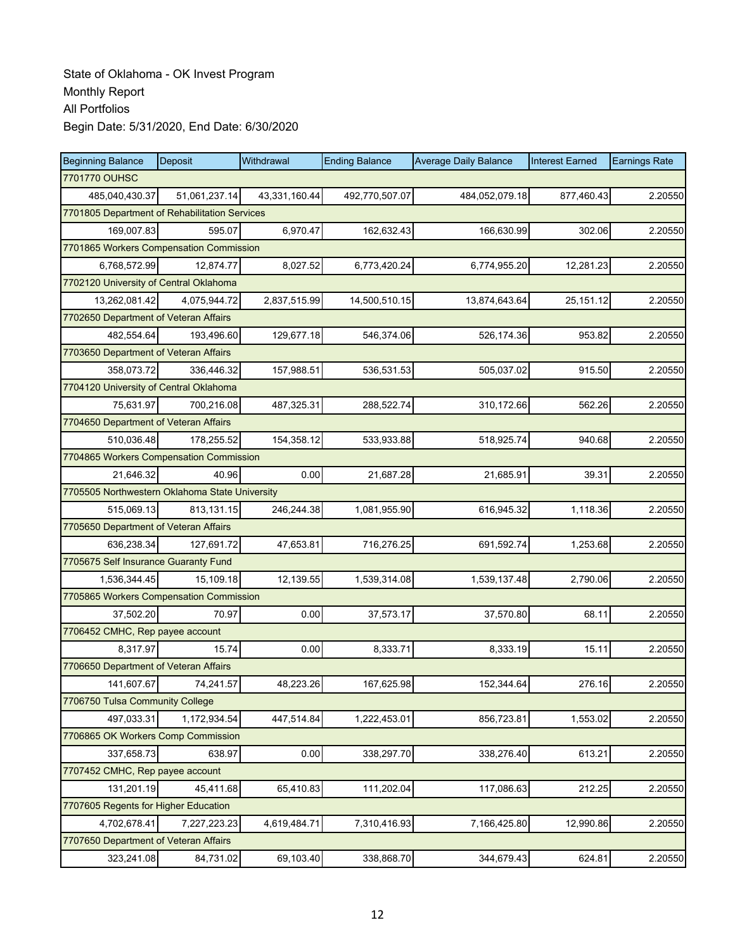| <b>Beginning Balance</b>                       | <b>Deposit</b> | Withdrawal    | <b>Ending Balance</b> | <b>Average Daily Balance</b> | <b>Interest Earned</b> | <b>Earnings Rate</b> |  |  |  |
|------------------------------------------------|----------------|---------------|-----------------------|------------------------------|------------------------|----------------------|--|--|--|
| 7701770 OUHSC                                  |                |               |                       |                              |                        |                      |  |  |  |
| 485,040,430.37                                 | 51,061,237.14  | 43,331,160.44 | 492,770,507.07        | 484,052,079.18               | 877,460.43             | 2.20550              |  |  |  |
| 7701805 Department of Rehabilitation Services  |                |               |                       |                              |                        |                      |  |  |  |
| 169,007.83                                     | 595.07         | 6,970.47      | 162,632.43            | 166,630.99                   | 302.06                 | 2.20550              |  |  |  |
| 7701865 Workers Compensation Commission        |                |               |                       |                              |                        |                      |  |  |  |
| 6,768,572.99                                   | 12,874.77      | 8,027.52      | 6,773,420.24          | 6,774,955.20                 | 12,281.23              | 2.20550              |  |  |  |
| 7702120 University of Central Oklahoma         |                |               |                       |                              |                        |                      |  |  |  |
| 13,262,081.42                                  | 4.075.944.72   | 2,837,515.99  | 14,500,510.15         | 13,874,643.64                | 25,151.12              | 2.20550              |  |  |  |
| 7702650 Department of Veteran Affairs          |                |               |                       |                              |                        |                      |  |  |  |
| 482,554.64                                     | 193,496.60     | 129,677.18    | 546,374.06            | 526,174.36                   | 953.82                 | 2.20550              |  |  |  |
| 7703650 Department of Veteran Affairs          |                |               |                       |                              |                        |                      |  |  |  |
| 358,073.72                                     | 336,446.32     | 157,988.51    | 536,531.53            | 505,037.02                   | 915.50                 | 2.20550              |  |  |  |
| 7704120 University of Central Oklahoma         |                |               |                       |                              |                        |                      |  |  |  |
| 75,631.97                                      | 700,216.08     | 487,325.31    | 288,522.74            | 310,172.66                   | 562.26                 | 2.20550              |  |  |  |
| 7704650 Department of Veteran Affairs          |                |               |                       |                              |                        |                      |  |  |  |
| 510,036.48                                     | 178,255.52     | 154,358.12    | 533,933.88            | 518,925.74                   | 940.68                 | 2.20550              |  |  |  |
| 7704865 Workers Compensation Commission        |                |               |                       |                              |                        |                      |  |  |  |
| 21,646.32                                      | 40.96          | 0.00          | 21,687.28             | 21,685.91                    | 39.31                  | 2.20550              |  |  |  |
| 7705505 Northwestern Oklahoma State University |                |               |                       |                              |                        |                      |  |  |  |
| 515,069.13                                     | 813,131.15     | 246,244.38    | 1,081,955.90          | 616,945.32                   | 1,118.36               | 2.20550              |  |  |  |
| 7705650 Department of Veteran Affairs          |                |               |                       |                              |                        |                      |  |  |  |
| 636,238.34                                     | 127,691.72     | 47,653.81     | 716,276.25            | 691,592.74                   | 1,253.68               | 2.20550              |  |  |  |
| 7705675 Self Insurance Guaranty Fund           |                |               |                       |                              |                        |                      |  |  |  |
| 1,536,344.45                                   | 15,109.18      | 12,139.55     | 1,539,314.08          | 1,539,137.48                 | 2,790.06               | 2.20550              |  |  |  |
| 7705865 Workers Compensation Commission        |                |               |                       |                              |                        |                      |  |  |  |
| 37,502.20                                      | 70.97          | 0.00          | 37,573.17             | 37,570.80                    | 68.11                  | 2.20550              |  |  |  |
| 7706452 CMHC, Rep payee account                |                |               |                       |                              |                        |                      |  |  |  |
| 8,317.97                                       | 15.74          | 0.00          | 8,333.71              | 8,333.19                     | 15.11                  | 2.20550              |  |  |  |
| 7706650 Department of Veteran Affairs          |                |               |                       |                              |                        |                      |  |  |  |
| 141,607.67                                     | 74,241.57      | 48,223.26     | 167,625.98            | 152,344.64                   | 276.16                 | 2.20550              |  |  |  |
| 7706750 Tulsa Community College                |                |               |                       |                              |                        |                      |  |  |  |
| 497,033.31                                     | 1,172,934.54   | 447,514.84    | 1,222,453.01          | 856,723.81                   | 1,553.02               | 2.20550              |  |  |  |
| 7706865 OK Workers Comp Commission             |                |               |                       |                              |                        |                      |  |  |  |
| 337,658.73                                     | 638.97         | 0.00          | 338,297.70            | 338,276.40                   | 613.21                 | 2.20550              |  |  |  |
| 7707452 CMHC, Rep payee account                |                |               |                       |                              |                        |                      |  |  |  |
| 131,201.19                                     | 45,411.68      | 65,410.83     | 111,202.04            | 117,086.63                   | 212.25                 | 2.20550              |  |  |  |
| 7707605 Regents for Higher Education           |                |               |                       |                              |                        |                      |  |  |  |
| 4,702,678.41                                   | 7,227,223.23   | 4,619,484.71  | 7,310,416.93          | 7,166,425.80                 | 12,990.86              | 2.20550              |  |  |  |
| 7707650 Department of Veteran Affairs          |                |               |                       |                              |                        |                      |  |  |  |
| 323,241.08                                     | 84,731.02      | 69,103.40     | 338,868.70            | 344,679.43                   | 624.81                 | 2.20550              |  |  |  |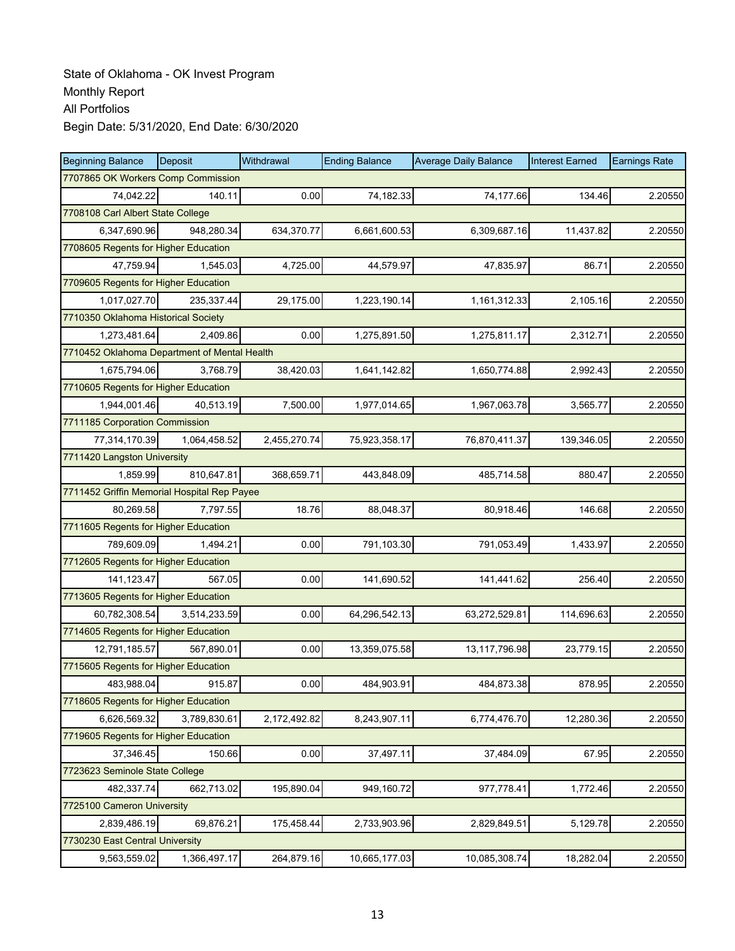| <b>Beginning Balance</b>                     | Deposit      | Withdrawal   | <b>Ending Balance</b> | <b>Average Daily Balance</b> | <b>Interest Earned</b> | <b>Earnings Rate</b> |  |  |
|----------------------------------------------|--------------|--------------|-----------------------|------------------------------|------------------------|----------------------|--|--|
| 7707865 OK Workers Comp Commission           |              |              |                       |                              |                        |                      |  |  |
| 74,042.22                                    | 140.11       | 0.00         | 74,182.33             | 74,177.66                    | 134.46                 | 2.20550              |  |  |
| 7708108 Carl Albert State College            |              |              |                       |                              |                        |                      |  |  |
| 6,347,690.96                                 | 948,280.34   | 634,370.77   | 6,661,600.53          | 6,309,687.16                 | 11,437.82              | 2.20550              |  |  |
| 7708605 Regents for Higher Education         |              |              |                       |                              |                        |                      |  |  |
| 47,759.94                                    | 1,545.03     | 4,725.00     | 44,579.97             | 47,835.97                    | 86.71                  | 2.20550              |  |  |
| 7709605 Regents for Higher Education         |              |              |                       |                              |                        |                      |  |  |
| 1.017.027.70                                 | 235,337.44   | 29,175.00    | 1,223,190.14          | 1,161,312.33                 | 2,105.16               | 2.20550              |  |  |
| 7710350 Oklahoma Historical Society          |              |              |                       |                              |                        |                      |  |  |
| 1,273,481.64                                 | 2,409.86     | 0.00         | 1,275,891.50          | 1,275,811.17                 | 2,312.71               | 2.20550              |  |  |
| 7710452 Oklahoma Department of Mental Health |              |              |                       |                              |                        |                      |  |  |
| 1,675,794.06                                 | 3,768.79     | 38,420.03    | 1,641,142.82          | 1,650,774.88                 | 2,992.43               | 2.20550              |  |  |
| 7710605 Regents for Higher Education         |              |              |                       |                              |                        |                      |  |  |
| 1.944.001.46                                 | 40,513.19    | 7,500.00     | 1,977,014.65          | 1,967,063.78                 | 3,565.77               | 2.20550              |  |  |
| 7711185 Corporation Commission               |              |              |                       |                              |                        |                      |  |  |
| 77,314,170.39                                | 1,064,458.52 | 2,455,270.74 | 75,923,358.17         | 76,870,411.37                | 139,346.05             | 2.20550              |  |  |
| 7711420 Langston University                  |              |              |                       |                              |                        |                      |  |  |
| 1,859.99                                     | 810,647.81   | 368,659.71   | 443,848.09            | 485,714.58                   | 880.47                 | 2.20550              |  |  |
| 7711452 Griffin Memorial Hospital Rep Payee  |              |              |                       |                              |                        |                      |  |  |
| 80,269.58                                    | 7,797.55     | 18.76        | 88,048.37             | 80,918.46                    | 146.68                 | 2.20550              |  |  |
| 7711605 Regents for Higher Education         |              |              |                       |                              |                        |                      |  |  |
| 789,609.09                                   | 1,494.21     | 0.00         | 791,103.30            | 791,053.49                   | 1,433.97               | 2.20550              |  |  |
| 7712605 Regents for Higher Education         |              |              |                       |                              |                        |                      |  |  |
| 141,123.47                                   | 567.05       | 0.00         | 141,690.52            | 141,441.62                   | 256.40                 | 2.20550              |  |  |
| 7713605 Regents for Higher Education         |              |              |                       |                              |                        |                      |  |  |
| 60,782,308.54                                | 3,514,233.59 | 0.00         | 64,296,542.13         | 63,272,529.81                | 114,696.63             | 2.20550              |  |  |
| 7714605 Regents for Higher Education         |              |              |                       |                              |                        |                      |  |  |
| 12,791,185.57                                | 567,890.01   | 0.00         | 13,359,075.58         | 13,117,796.98                | 23,779.15              | 2.20550              |  |  |
| 7715605 Regents for Higher Education         |              |              |                       |                              |                        |                      |  |  |
| 483,988.04                                   | 915.87       | 0.00         | 484,903.91            | 484,873.38                   | 878.95                 | 2.20550              |  |  |
| 7718605 Regents for Higher Education         |              |              |                       |                              |                        |                      |  |  |
| 6,626,569.32                                 | 3,789,830.61 | 2,172,492.82 | 8,243,907.11          | 6,774,476.70                 | 12,280.36              | 2.20550              |  |  |
| 7719605 Regents for Higher Education         |              |              |                       |                              |                        |                      |  |  |
| 37,346.45                                    | 150.66       | 0.00         | 37,497.11             | 37,484.09                    | 67.95                  | 2.20550              |  |  |
| 7723623 Seminole State College               |              |              |                       |                              |                        |                      |  |  |
| 482,337.74                                   | 662,713.02   | 195,890.04   | 949,160.72            | 977,778.41                   | 1,772.46               | 2.20550              |  |  |
| 7725100 Cameron University                   |              |              |                       |                              |                        |                      |  |  |
| 2,839,486.19                                 | 69,876.21    | 175,458.44   | 2,733,903.96          | 2,829,849.51                 | 5,129.78               | 2.20550              |  |  |
| 7730230 East Central University              |              |              |                       |                              |                        |                      |  |  |
| 9,563,559.02                                 | 1,366,497.17 | 264,879.16   | 10,665,177.03         | 10,085,308.74                | 18,282.04              | 2.20550              |  |  |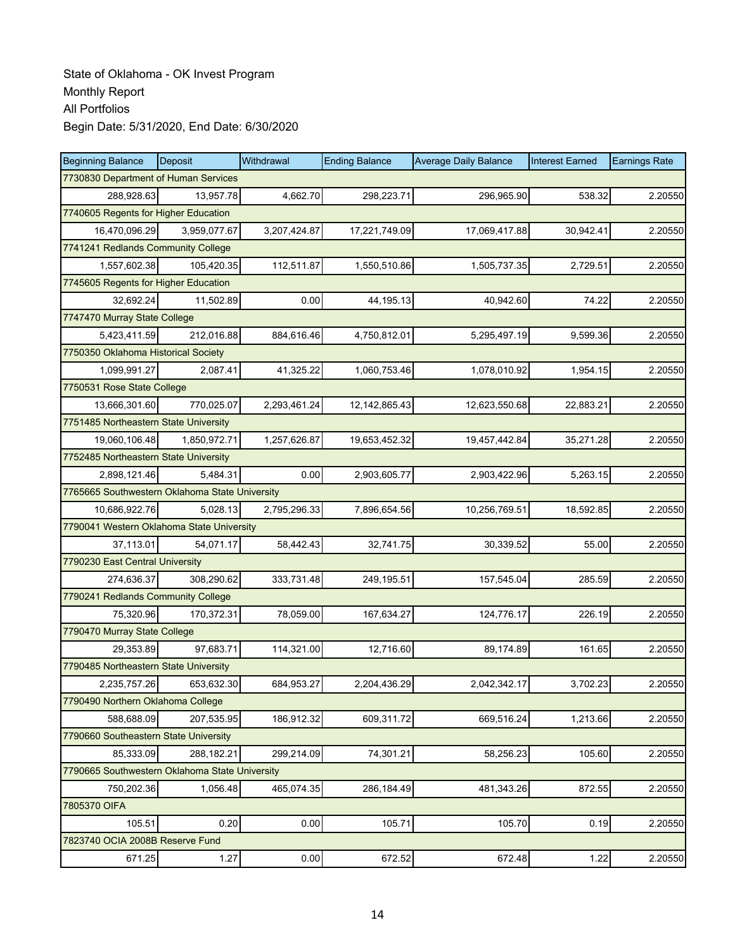| <b>Beginning Balance</b>                       | Deposit      | Withdrawal   | <b>Ending Balance</b> | <b>Average Daily Balance</b> | <b>Interest Earned</b> | <b>Earnings Rate</b> |  |  |
|------------------------------------------------|--------------|--------------|-----------------------|------------------------------|------------------------|----------------------|--|--|
| 7730830 Department of Human Services           |              |              |                       |                              |                        |                      |  |  |
| 288,928.63                                     | 13.957.78    | 4,662.70     | 298,223.71            | 296.965.90                   | 538.32                 | 2.20550              |  |  |
| 7740605 Regents for Higher Education           |              |              |                       |                              |                        |                      |  |  |
| 16,470,096.29                                  | 3,959,077.67 | 3,207,424.87 | 17,221,749.09         | 17,069,417.88                | 30,942.41              | 2.20550              |  |  |
| 7741241 Redlands Community College             |              |              |                       |                              |                        |                      |  |  |
| 1,557,602.38                                   | 105,420.35   | 112,511.87   | 1,550,510.86          | 1,505,737.35                 | 2,729.51               | 2.20550              |  |  |
| 7745605 Regents for Higher Education           |              |              |                       |                              |                        |                      |  |  |
| 32,692.24                                      | 11,502.89    | 0.00         | 44,195.13             | 40,942.60                    | 74.22                  | 2.20550              |  |  |
| 7747470 Murray State College                   |              |              |                       |                              |                        |                      |  |  |
| 5,423,411.59                                   | 212,016.88   | 884,616.46   | 4,750,812.01          | 5,295,497.19                 | 9,599.36               | 2.20550              |  |  |
| 7750350 Oklahoma Historical Society            |              |              |                       |                              |                        |                      |  |  |
| 1,099,991.27                                   | 2,087.41     | 41,325.22    | 1,060,753.46          | 1,078,010.92                 | 1,954.15               | 2.20550              |  |  |
| 7750531 Rose State College                     |              |              |                       |                              |                        |                      |  |  |
| 13,666,301.60                                  | 770.025.07   | 2,293,461.24 | 12, 142, 865. 43      | 12,623,550.68                | 22,883.21              | 2.20550              |  |  |
| 7751485 Northeastern State University          |              |              |                       |                              |                        |                      |  |  |
| 19,060,106.48                                  | 1,850,972.71 | 1,257,626.87 | 19,653,452.32         | 19,457,442.84                | 35,271.28              | 2.20550              |  |  |
| 7752485 Northeastern State University          |              |              |                       |                              |                        |                      |  |  |
| 2,898,121.46                                   | 5,484.31     | 0.00         | 2,903,605.77          | 2,903,422.96                 | 5,263.15               | 2.20550              |  |  |
| 7765665 Southwestern Oklahoma State University |              |              |                       |                              |                        |                      |  |  |
| 10,686,922.76                                  | 5,028.13     | 2,795,296.33 | 7,896,654.56          | 10,256,769.51                | 18,592.85              | 2.20550              |  |  |
| 7790041 Western Oklahoma State University      |              |              |                       |                              |                        |                      |  |  |
| 37,113.01                                      | 54,071.17    | 58,442.43    | 32,741.75             | 30,339.52                    | 55.00                  | 2.20550              |  |  |
| 7790230 East Central University                |              |              |                       |                              |                        |                      |  |  |
| 274,636.37                                     | 308,290.62   | 333,731.48   | 249,195.51            | 157,545.04                   | 285.59                 | 2.20550              |  |  |
| 7790241 Redlands Community College             |              |              |                       |                              |                        |                      |  |  |
| 75,320.96                                      | 170,372.31   | 78,059.00    | 167,634.27            | 124,776.17                   | 226.19                 | 2.20550              |  |  |
| 7790470 Murray State College                   |              |              |                       |                              |                        |                      |  |  |
| 29,353.89                                      | 97,683.71    | 114,321.00   | 12,716.60             | 89,174.89                    | 161.65                 | 2.20550              |  |  |
| 7790485 Northeastern State University          |              |              |                       |                              |                        |                      |  |  |
| 2,235,757.26                                   | 653,632.30   | 684,953.27   | 2,204,436.29          | 2,042,342.17                 | 3,702.23               | 2.20550              |  |  |
| 7790490 Northern Oklahoma College              |              |              |                       |                              |                        |                      |  |  |
| 588,688.09                                     | 207,535.95   | 186,912.32   | 609,311.72            | 669,516.24                   | 1,213.66               | 2.20550              |  |  |
| 7790660 Southeastern State University          |              |              |                       |                              |                        |                      |  |  |
| 85,333.09                                      | 288,182.21   | 299,214.09   | 74,301.21             | 58,256.23                    | 105.60                 | 2.20550              |  |  |
| 7790665 Southwestern Oklahoma State University |              |              |                       |                              |                        |                      |  |  |
| 750,202.36                                     | 1,056.48     | 465,074.35   | 286,184.49            | 481,343.26                   | 872.55                 | 2.20550              |  |  |
| 7805370 OIFA                                   |              |              |                       |                              |                        |                      |  |  |
| 105.51                                         | 0.20         | 0.00         | 105.71                | 105.70                       | 0.19                   | 2.20550              |  |  |
| 7823740 OCIA 2008B Reserve Fund                |              |              |                       |                              |                        |                      |  |  |
| 671.25                                         | 1.27         | 0.00         | 672.52                | 672.48                       | 1.22                   | 2.20550              |  |  |